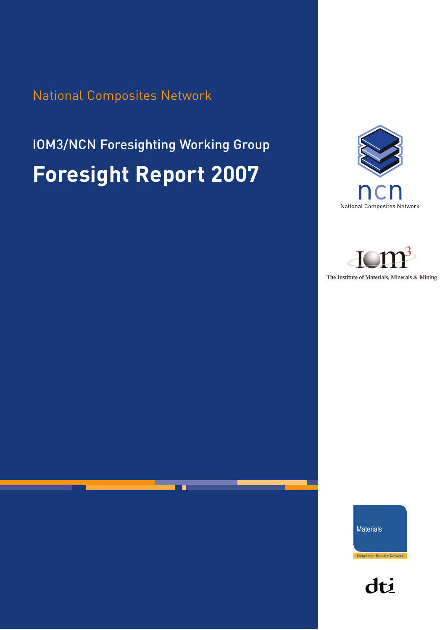National Composites Network

# IOM3/NCN Foresighting Working Group **Foresight Report 2007**





The Institute of Materials, Minerals & Mining

Materials

dti

Knowledge Transfer Network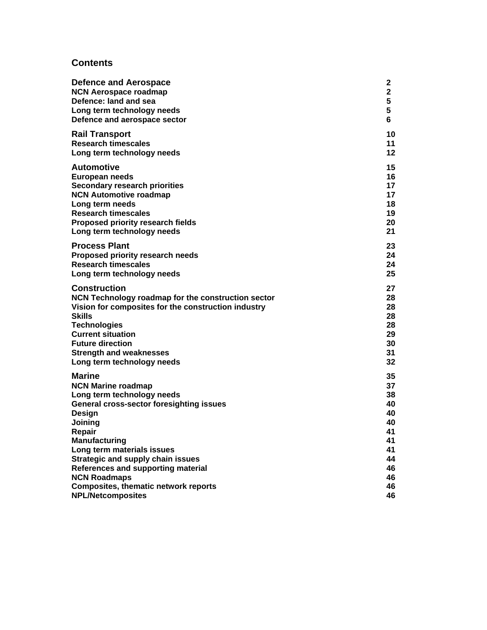#### **Contents**

| Defence and Aerospace                               | $\mathbf{2}$ |
|-----------------------------------------------------|--------------|
| <b>NCN Aerospace roadmap</b>                        | $\mathbf{2}$ |
| Defence: land and sea                               | 5            |
| Long term technology needs                          | 5            |
| Defence and aerospace sector                        | 6            |
| <b>Rail Transport</b>                               | 10           |
| <b>Research timescales</b>                          | 11           |
| Long term technology needs                          | 12           |
| <b>Automotive</b>                                   | 15           |
| European needs                                      | 16           |
| <b>Secondary research priorities</b>                | 17           |
| <b>NCN Automotive roadmap</b>                       | 17           |
| Long term needs                                     | 18           |
| <b>Research timescales</b>                          | 19           |
| <b>Proposed priority research fields</b>            | 20           |
| Long term technology needs                          | 21           |
| <b>Process Plant</b>                                | 23           |
| <b>Proposed priority research needs</b>             | 24           |
| <b>Research timescales</b>                          | 24           |
| Long term technology needs                          | 25           |
| <b>Construction</b>                                 | 27           |
| NCN Technology roadmap for the construction sector  | 28           |
| Vision for composites for the construction industry | 28           |
| <b>Skills</b>                                       | 28           |
| <b>Technologies</b>                                 | 28           |
| <b>Current situation</b>                            | 29           |
| <b>Future direction</b>                             | 30           |
| <b>Strength and weaknesses</b>                      | 31           |
| Long term technology needs                          | 32           |
| <b>Marine</b>                                       | 35           |
| <b>NCN Marine roadmap</b>                           | 37           |
| Long term technology needs                          | 38           |
| <b>General cross-sector foresighting issues</b>     | 40           |
| Design                                              | 40           |
| Joining                                             | 40           |
| Repair                                              | 41           |
| <b>Manufacturing</b>                                | 41           |
| Long term materials issues                          | 41           |
| <b>Strategic and supply chain issues</b>            | 44           |
| References and supporting material                  | 46           |
| <b>NCN Roadmaps</b>                                 | 46           |
| <b>Composites, thematic network reports</b>         | 46           |
| <b>NPL/Netcomposites</b>                            | 46           |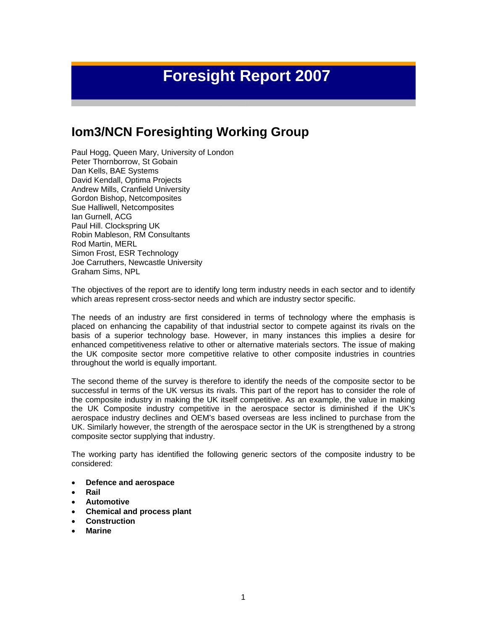## **Foresight Report 2007**

## **Iom3/NCN Foresighting Working Group**

Paul Hogg, Queen Mary, University of London Peter Thornborrow, St Gobain Dan Kells, BAE Systems David Kendall, Optima Projects Andrew Mills, Cranfield University Gordon Bishop, Netcomposites Sue Halliwell, Netcomposites Ian Gurnell, ACG Paul Hill. Clockspring UK Robin Mableson, RM Consultants Rod Martin, MERL Simon Frost, ESR Technology Joe Carruthers, Newcastle University Graham Sims, NPL

The objectives of the report are to identify long term industry needs in each sector and to identify which areas represent cross-sector needs and which are industry sector specific.

The needs of an industry are first considered in terms of technology where the emphasis is placed on enhancing the capability of that industrial sector to compete against its rivals on the basis of a superior technology base. However, in many instances this implies a desire for enhanced competitiveness relative to other or alternative materials sectors. The issue of making the UK composite sector more competitive relative to other composite industries in countries throughout the world is equally important.

The second theme of the survey is therefore to identify the needs of the composite sector to be successful in terms of the UK versus its rivals. This part of the report has to consider the role of the composite industry in making the UK itself competitive. As an example, the value in making the UK Composite industry competitive in the aerospace sector is diminished if the UK's aerospace industry declines and OEM's based overseas are less inclined to purchase from the UK. Similarly however, the strength of the aerospace sector in the UK is strengthened by a strong composite sector supplying that industry.

The working party has identified the following generic sectors of the composite industry to be considered:

- **Defence and aerospace**
- **Rail**
- **Automotive**
- **Chemical and process plant**
- **Construction**
- **Marine**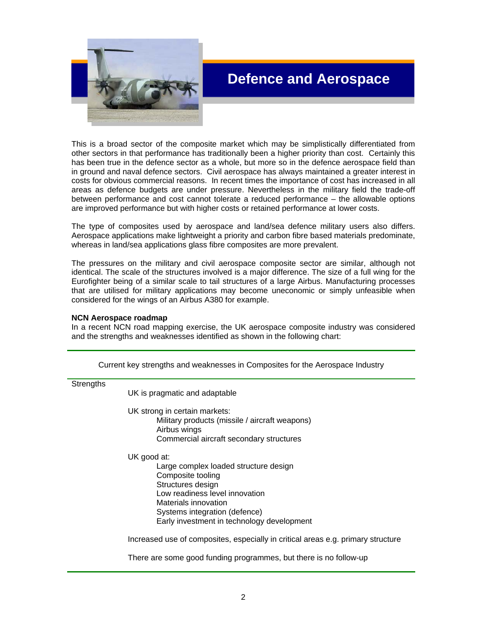

## **Defence and Aerospace**

This is a broad sector of the composite market which may be simplistically differentiated from other sectors in that performance has traditionally been a higher priority than cost. Certainly this has been true in the defence sector as a whole, but more so in the defence aerospace field than in ground and naval defence sectors. Civil aerospace has always maintained a greater interest in costs for obvious commercial reasons. In recent times the importance of cost has increased in all areas as defence budgets are under pressure. Nevertheless in the military field the trade-off between performance and cost cannot tolerate a reduced performance – the allowable options are improved performance but with higher costs or retained performance at lower costs.

The type of composites used by aerospace and land/sea defence military users also differs. Aerospace applications make lightweight a priority and carbon fibre based materials predominate, whereas in land/sea applications glass fibre composites are more prevalent.

The pressures on the military and civil aerospace composite sector are similar, although not identical. The scale of the structures involved is a major difference. The size of a full wing for the Eurofighter being of a similar scale to tail structures of a large Airbus. Manufacturing processes that are utilised for military applications may become uneconomic or simply unfeasible when considered for the wings of an Airbus A380 for example.

#### **NCN Aerospace roadmap**

In a recent NCN road mapping exercise, the UK aerospace composite industry was considered and the strengths and weaknesses identified as shown in the following chart:

|           | Current Key Strengths and Weaknesses in Composites for the Aerospace moustry     |
|-----------|----------------------------------------------------------------------------------|
| Strengths |                                                                                  |
|           | UK is pragmatic and adaptable                                                    |
|           | UK strong in certain markets:                                                    |
|           | Military products (missile / aircraft weapons)<br>Airbus wings                   |
|           | Commercial aircraft secondary structures                                         |
|           | UK good at:                                                                      |
|           | Large complex loaded structure design                                            |
|           | Composite tooling<br>Structures design                                           |
|           | Low readiness level innovation                                                   |
|           | Materials innovation                                                             |
|           | Systems integration (defence)                                                    |
|           | Early investment in technology development                                       |
|           | Increased use of composites, especially in critical areas e.g. primary structure |
|           | There are some good funding programmes, but there is no follow-up                |

Current key strengths and weaknesses in Composites for the Aerospace Industry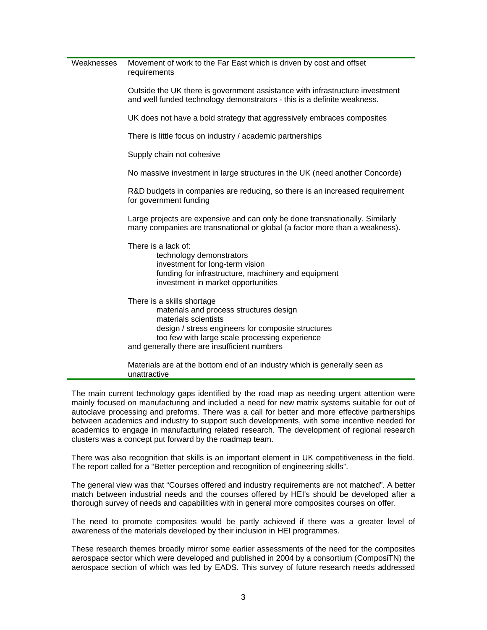| Weaknesses | Movement of work to the Far East which is driven by cost and offset<br>requirements                                                                                                                                                                   |
|------------|-------------------------------------------------------------------------------------------------------------------------------------------------------------------------------------------------------------------------------------------------------|
|            | Outside the UK there is government assistance with infrastructure investment<br>and well funded technology demonstrators - this is a definite weakness.                                                                                               |
|            | UK does not have a bold strategy that aggressively embraces composites                                                                                                                                                                                |
|            | There is little focus on industry / academic partnerships                                                                                                                                                                                             |
|            | Supply chain not cohesive                                                                                                                                                                                                                             |
|            | No massive investment in large structures in the UK (need another Concorde)                                                                                                                                                                           |
|            | R&D budgets in companies are reducing, so there is an increased requirement<br>for government funding                                                                                                                                                 |
|            | Large projects are expensive and can only be done transnationally. Similarly<br>many companies are transnational or global (a factor more than a weakness).                                                                                           |
|            | There is a lack of:<br>technology demonstrators<br>investment for long-term vision<br>funding for infrastructure, machinery and equipment<br>investment in market opportunities                                                                       |
|            | There is a skills shortage<br>materials and process structures design<br>materials scientists<br>design / stress engineers for composite structures<br>too few with large scale processing experience<br>and generally there are insufficient numbers |
|            | Materials are at the bottom end of an industry which is generally seen as<br>unattractive                                                                                                                                                             |

The main current technology gaps identified by the road map as needing urgent attention were mainly focused on manufacturing and included a need for new matrix systems suitable for out of autoclave processing and preforms. There was a call for better and more effective partnerships between academics and industry to support such developments, with some incentive needed for academics to engage in manufacturing related research. The development of regional research clusters was a concept put forward by the roadmap team.

There was also recognition that skills is an important element in UK competitiveness in the field. The report called for a "Better perception and recognition of engineering skills".

The general view was that "Courses offered and industry requirements are not matched". A better match between industrial needs and the courses offered by HEI's should be developed after a thorough survey of needs and capabilities with in general more composites courses on offer.

The need to promote composites would be partly achieved if there was a greater level of awareness of the materials developed by their inclusion in HEI programmes.

These research themes broadly mirror some earlier assessments of the need for the composites aerospace sector which were developed and published in 2004 by a consortium (ComposiTN) the aerospace section of which was led by EADS. This survey of future research needs addressed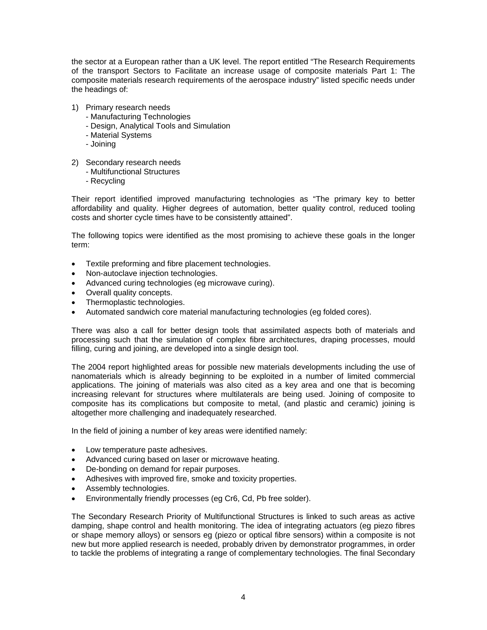the sector at a European rather than a UK level. The report entitled "The Research Requirements of the transport Sectors to Facilitate an increase usage of composite materials Part 1: The composite materials research requirements of the aerospace industry" listed specific needs under the headings of:

- 1) Primary research needs
	- Manufacturing Technologies
	- Design, Analytical Tools and Simulation
	- Material Systems
	- Joining
- 2) Secondary research needs
	- Multifunctional Structures
	- Recycling

Their report identified improved manufacturing technologies as "The primary key to better affordability and quality. Higher degrees of automation, better quality control, reduced tooling costs and shorter cycle times have to be consistently attained".

The following topics were identified as the most promising to achieve these goals in the longer term:

- Textile preforming and fibre placement technologies.
- Non-autoclave injection technologies.
- Advanced curing technologies (eg microwave curing).
- Overall quality concepts.
- Thermoplastic technologies.
- Automated sandwich core material manufacturing technologies (eg folded cores).

There was also a call for better design tools that assimilated aspects both of materials and processing such that the simulation of complex fibre architectures, draping processes, mould filling, curing and joining, are developed into a single design tool.

The 2004 report highlighted areas for possible new materials developments including the use of nanomaterials which is already beginning to be exploited in a number of limited commercial applications. The joining of materials was also cited as a key area and one that is becoming increasing relevant for structures where multilaterals are being used. Joining of composite to composite has its complications but composite to metal, (and plastic and ceramic) joining is altogether more challenging and inadequately researched.

In the field of joining a number of key areas were identified namely:

- Low temperature paste adhesives.
- Advanced curing based on laser or microwave heating.
- De-bonding on demand for repair purposes.
- Adhesives with improved fire, smoke and toxicity properties.
- Assembly technologies.
- Environmentally friendly processes (eg Cr6, Cd, Pb free solder).

The Secondary Research Priority of Multifunctional Structures is linked to such areas as active damping, shape control and health monitoring. The idea of integrating actuators (eg piezo fibres or shape memory alloys) or sensors eg (piezo or optical fibre sensors) within a composite is not new but more applied research is needed, probably driven by demonstrator programmes, in order to tackle the problems of integrating a range of complementary technologies. The final Secondary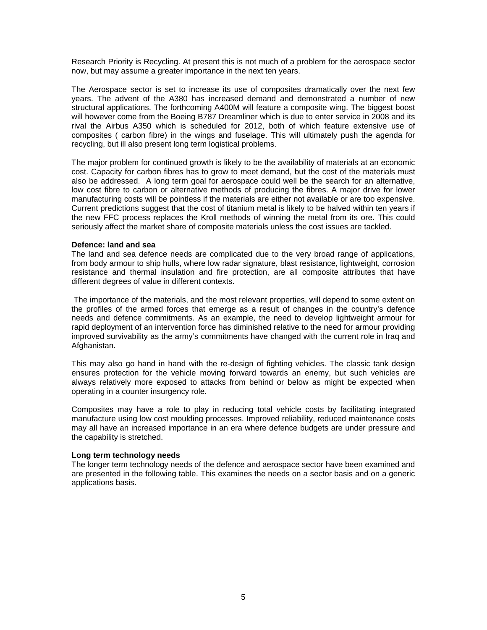Research Priority is Recycling. At present this is not much of a problem for the aerospace sector now, but may assume a greater importance in the next ten years.

The Aerospace sector is set to increase its use of composites dramatically over the next few years. The advent of the A380 has increased demand and demonstrated a number of new structural applications. The forthcoming A400M will feature a composite wing. The biggest boost will however come from the Boeing B787 Dreamliner which is due to enter service in 2008 and its rival the Airbus A350 which is scheduled for 2012, both of which feature extensive use of composites ( carbon fibre) in the wings and fuselage. This will ultimately push the agenda for recycling, but ill also present long term logistical problems.

The major problem for continued growth is likely to be the availability of materials at an economic cost. Capacity for carbon fibres has to grow to meet demand, but the cost of the materials must also be addressed. A long term goal for aerospace could well be the search for an alternative, low cost fibre to carbon or alternative methods of producing the fibres. A major drive for lower manufacturing costs will be pointless if the materials are either not available or are too expensive. Current predictions suggest that the cost of titanium metal is likely to be halved within ten years if the new FFC process replaces the Kroll methods of winning the metal from its ore. This could seriously affect the market share of composite materials unless the cost issues are tackled.

#### **Defence: land and sea**

The land and sea defence needs are complicated due to the very broad range of applications, from body armour to ship hulls, where low radar signature, blast resistance, lightweight, corrosion resistance and thermal insulation and fire protection, are all composite attributes that have different degrees of value in different contexts.

 The importance of the materials, and the most relevant properties, will depend to some extent on the profiles of the armed forces that emerge as a result of changes in the country's defence needs and defence commitments. As an example, the need to develop lightweight armour for rapid deployment of an intervention force has diminished relative to the need for armour providing improved survivability as the army's commitments have changed with the current role in Iraq and Afghanistan.

This may also go hand in hand with the re-design of fighting vehicles. The classic tank design ensures protection for the vehicle moving forward towards an enemy, but such vehicles are always relatively more exposed to attacks from behind or below as might be expected when operating in a counter insurgency role.

Composites may have a role to play in reducing total vehicle costs by facilitating integrated manufacture using low cost moulding processes. Improved reliability, reduced maintenance costs may all have an increased importance in an era where defence budgets are under pressure and the capability is stretched.

#### **Long term technology needs**

The longer term technology needs of the defence and aerospace sector have been examined and are presented in the following table. This examines the needs on a sector basis and on a generic applications basis.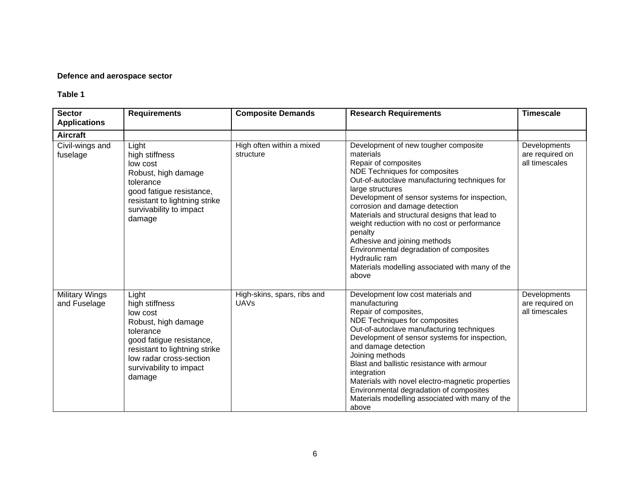#### **Defence and aerospace sector**

| <b>Sector</b><br><b>Applications</b>  | <b>Requirements</b>                                                                                                                                                                                  | <b>Composite Demands</b>                   | <b>Research Requirements</b>                                                                                                                                                                                                                                                                                                                                                                                                                                                                                                           | <b>Timescale</b>                                  |
|---------------------------------------|------------------------------------------------------------------------------------------------------------------------------------------------------------------------------------------------------|--------------------------------------------|----------------------------------------------------------------------------------------------------------------------------------------------------------------------------------------------------------------------------------------------------------------------------------------------------------------------------------------------------------------------------------------------------------------------------------------------------------------------------------------------------------------------------------------|---------------------------------------------------|
| <b>Aircraft</b>                       |                                                                                                                                                                                                      |                                            |                                                                                                                                                                                                                                                                                                                                                                                                                                                                                                                                        |                                                   |
| Civil-wings and<br>fuselage           | Light<br>high stiffness<br>low cost<br>Robust, high damage<br>tolerance<br>good fatigue resistance,<br>resistant to lightning strike<br>survivability to impact<br>damage                            | High often within a mixed<br>structure     | Development of new tougher composite<br>materials<br>Repair of composites<br>NDE Techniques for composites<br>Out-of-autoclave manufacturing techniques for<br>large structures<br>Development of sensor systems for inspection,<br>corrosion and damage detection<br>Materials and structural designs that lead to<br>weight reduction with no cost or performance<br>penalty<br>Adhesive and joining methods<br>Environmental degradation of composites<br>Hydraulic ram<br>Materials modelling associated with many of the<br>above | Developments<br>are required on<br>all timescales |
| <b>Military Wings</b><br>and Fuselage | Light<br>high stiffness<br>low cost<br>Robust, high damage<br>tolerance<br>good fatigue resistance,<br>resistant to lightning strike<br>low radar cross-section<br>survivability to impact<br>damage | High-skins, spars, ribs and<br><b>UAVs</b> | Development low cost materials and<br>manufacturing<br>Repair of composites,<br>NDE Techniques for composites<br>Out-of-autoclave manufacturing techniques<br>Development of sensor systems for inspection,<br>and damage detection<br>Joining methods<br>Blast and ballistic resistance with armour<br>integration<br>Materials with novel electro-magnetic properties<br>Environmental degradation of composites<br>Materials modelling associated with many of the<br>above                                                         | Developments<br>are required on<br>all timescales |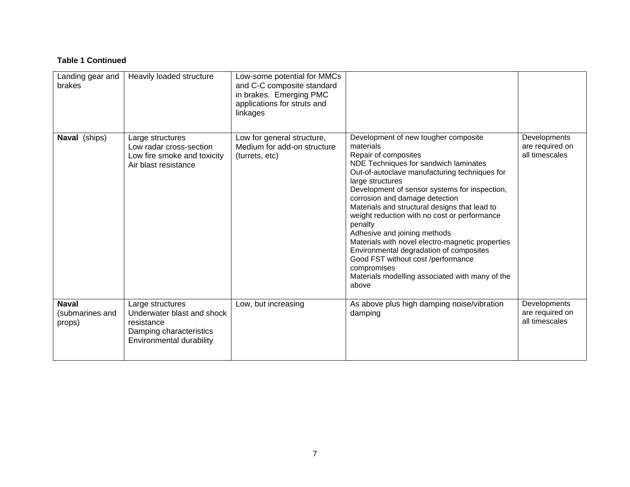#### **Table 1 Continued**

| Landing gear and<br>brakes                | Heavily loaded structure                                                                                            | Low-some potential for MMCs<br>and C-C composite standard<br>in brakes. Emerging PMC<br>applications for struts and<br>linkages |                                                                                                                                                                                                                                                                                                                                                                                                                                                                                                                                                                                                                                        |                                                   |
|-------------------------------------------|---------------------------------------------------------------------------------------------------------------------|---------------------------------------------------------------------------------------------------------------------------------|----------------------------------------------------------------------------------------------------------------------------------------------------------------------------------------------------------------------------------------------------------------------------------------------------------------------------------------------------------------------------------------------------------------------------------------------------------------------------------------------------------------------------------------------------------------------------------------------------------------------------------------|---------------------------------------------------|
| Naval (ships)                             | Large structures<br>Low radar cross-section<br>Low fire smoke and toxicity<br>Air blast resistance                  | Low for general structure,<br>Medium for add-on structure<br>(turrets, etc)                                                     | Development of new tougher composite<br>materials<br>Repair of composites<br>NDE Techniques for sandwich laminates<br>Out-of-autoclave manufacturing techniques for<br>large structures<br>Development of sensor systems for inspection,<br>corrosion and damage detection<br>Materials and structural designs that lead to<br>weight reduction with no cost or performance<br>penalty<br>Adhesive and joining methods<br>Materials with novel electro-magnetic properties<br>Environmental degradation of composites<br>Good FST without cost /performance<br>compromises<br>Materials modelling associated with many of the<br>above | Developments<br>are required on<br>all timescales |
| <b>Naval</b><br>(submarines and<br>props) | Large structures<br>Underwater blast and shock<br>resistance<br>Damping characteristics<br>Environmental durability | Low, but increasing                                                                                                             | As above plus high damping noise/vibration<br>damping                                                                                                                                                                                                                                                                                                                                                                                                                                                                                                                                                                                  | Developments<br>are required on<br>all timescales |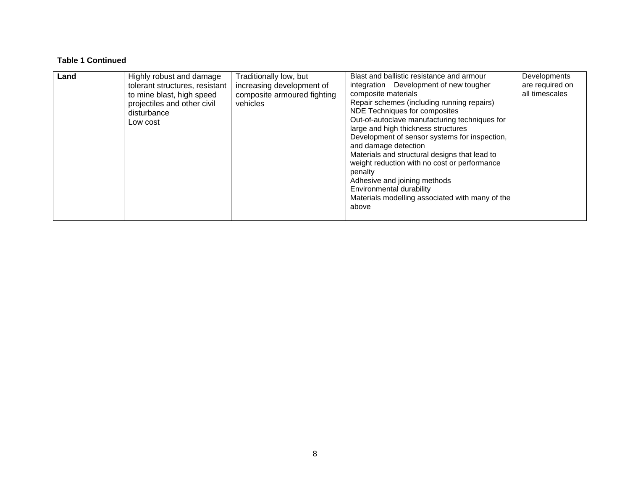#### **Table 1 Continued**

| Land | Highly robust and damage<br>tolerant structures, resistant<br>to mine blast, high speed<br>projectiles and other civil<br>disturbance<br>Low cost | Traditionally low, but<br>increasing development of<br>composite armoured fighting<br>vehicles | Blast and ballistic resistance and armour<br>integration Development of new tougher<br>composite materials<br>Repair schemes (including running repairs)<br>NDE Techniques for composites<br>Out-of-autoclave manufacturing techniques for<br>large and high thickness structures<br>Development of sensor systems for inspection,<br>and damage detection<br>Materials and structural designs that lead to<br>weight reduction with no cost or performance<br>penalty<br>Adhesive and joining methods<br>Environmental durability<br>Materials modelling associated with many of the<br>above | Developments<br>are required on<br>all timescales |
|------|---------------------------------------------------------------------------------------------------------------------------------------------------|------------------------------------------------------------------------------------------------|------------------------------------------------------------------------------------------------------------------------------------------------------------------------------------------------------------------------------------------------------------------------------------------------------------------------------------------------------------------------------------------------------------------------------------------------------------------------------------------------------------------------------------------------------------------------------------------------|---------------------------------------------------|
|------|---------------------------------------------------------------------------------------------------------------------------------------------------|------------------------------------------------------------------------------------------------|------------------------------------------------------------------------------------------------------------------------------------------------------------------------------------------------------------------------------------------------------------------------------------------------------------------------------------------------------------------------------------------------------------------------------------------------------------------------------------------------------------------------------------------------------------------------------------------------|---------------------------------------------------|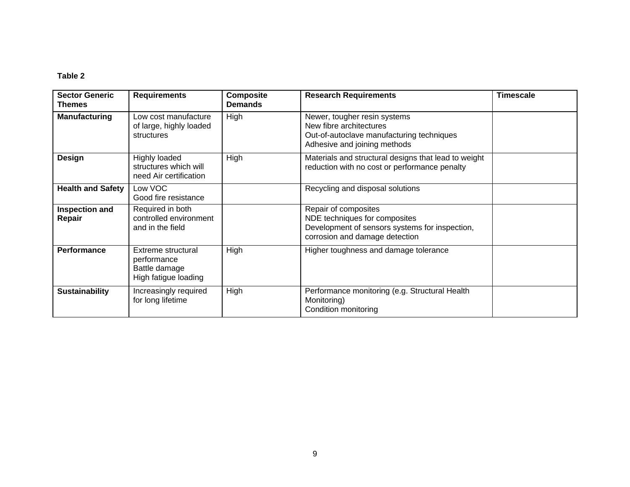| <b>Sector Generic</b><br><b>Themes</b> | <b>Requirements</b>                                                        | <b>Composite</b><br><b>Demands</b> | <b>Research Requirements</b>                                                                                                              | <b>Timescale</b> |
|----------------------------------------|----------------------------------------------------------------------------|------------------------------------|-------------------------------------------------------------------------------------------------------------------------------------------|------------------|
| <b>Manufacturing</b>                   | Low cost manufacture<br>of large, highly loaded<br>structures              | High                               | Newer, tougher resin systems<br>New fibre architectures<br>Out-of-autoclave manufacturing techniques<br>Adhesive and joining methods      |                  |
| Design                                 | <b>Highly loaded</b><br>structures which will<br>need Air certification    | High                               | Materials and structural designs that lead to weight<br>reduction with no cost or performance penalty                                     |                  |
| <b>Health and Safety</b>               | Low VOC<br>Good fire resistance                                            |                                    | Recycling and disposal solutions                                                                                                          |                  |
| Inspection and<br>Repair               | Required in both<br>controlled environment<br>and in the field             |                                    | Repair of composites<br>NDE techniques for composites<br>Development of sensors systems for inspection,<br>corrosion and damage detection |                  |
| Performance                            | Extreme structural<br>performance<br>Battle damage<br>High fatigue loading | High                               | Higher toughness and damage tolerance                                                                                                     |                  |
| <b>Sustainability</b>                  | Increasingly required<br>for long lifetime                                 | High                               | Performance monitoring (e.g. Structural Health<br>Monitoring)<br>Condition monitoring                                                     |                  |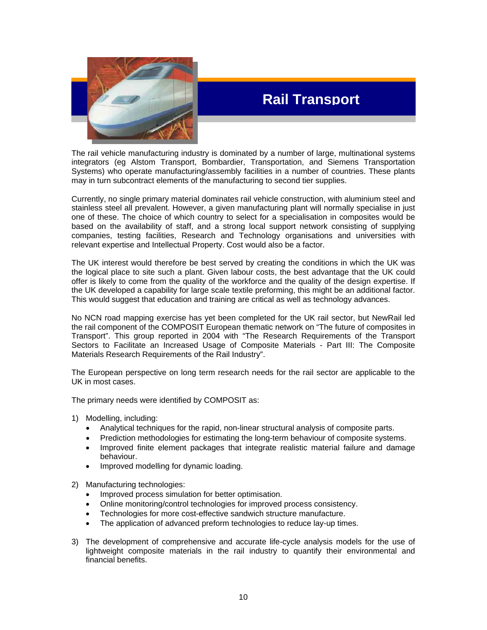

## **Rail Transport**

The rail vehicle manufacturing industry is dominated by a number of large, multinational systems integrators (eg Alstom Transport, Bombardier, Transportation, and Siemens Transportation Systems) who operate manufacturing/assembly facilities in a number of countries. These plants may in turn subcontract elements of the manufacturing to second tier supplies.

Currently, no single primary material dominates rail vehicle construction, with aluminium steel and stainless steel all prevalent. However, a given manufacturing plant will normally specialise in just one of these. The choice of which country to select for a specialisation in composites would be based on the availability of staff, and a strong local support network consisting of supplying companies, testing facilities, Research and Technology organisations and universities with relevant expertise and Intellectual Property. Cost would also be a factor.

The UK interest would therefore be best served by creating the conditions in which the UK was the logical place to site such a plant. Given labour costs, the best advantage that the UK could offer is likely to come from the quality of the workforce and the quality of the design expertise. If the UK developed a capability for large scale textile preforming, this might be an additional factor. This would suggest that education and training are critical as well as technology advances.

No NCN road mapping exercise has yet been completed for the UK rail sector, but NewRail led the rail component of the COMPOSIT European thematic network on "The future of composites in Transport". This group reported in 2004 with "The Research Requirements of the Transport Sectors to Facilitate an Increased Usage of Composite Materials - Part III: The Composite Materials Research Requirements of the Rail Industry".

The European perspective on long term research needs for the rail sector are applicable to the UK in most cases.

The primary needs were identified by COMPOSIT as:

- 1) Modelling, including:
	- Analytical techniques for the rapid, non-linear structural analysis of composite parts.
	- Prediction methodologies for estimating the long-term behaviour of composite systems.
	- Improved finite element packages that integrate realistic material failure and damage behaviour.
	- Improved modelling for dynamic loading.
- 2) Manufacturing technologies:
	- Improved process simulation for better optimisation.
	- Online monitoring/control technologies for improved process consistency.
	- Technologies for more cost-effective sandwich structure manufacture.
	- The application of advanced preform technologies to reduce lay-up times.
- 3) The development of comprehensive and accurate life-cycle analysis models for the use of lightweight composite materials in the rail industry to quantify their environmental and financial benefits.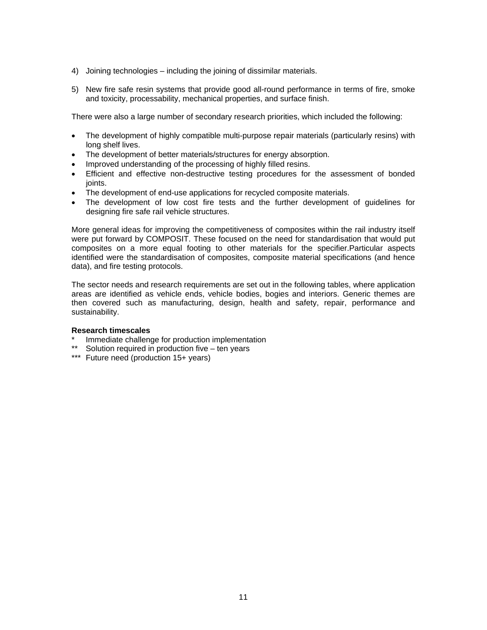- 4) Joining technologies including the joining of dissimilar materials.
- 5) New fire safe resin systems that provide good all-round performance in terms of fire, smoke and toxicity, processability, mechanical properties, and surface finish.

There were also a large number of secondary research priorities, which included the following:

- The development of highly compatible multi-purpose repair materials (particularly resins) with long shelf lives.
- The development of better materials/structures for energy absorption.
- Improved understanding of the processing of highly filled resins.
- Efficient and effective non-destructive testing procedures for the assessment of bonded joints.
- The development of end-use applications for recycled composite materials.
- The development of low cost fire tests and the further development of guidelines for designing fire safe rail vehicle structures.

More general ideas for improving the competitiveness of composites within the rail industry itself were put forward by COMPOSIT. These focused on the need for standardisation that would put composites on a more equal footing to other materials for the specifier.Particular aspects identified were the standardisation of composites, composite material specifications (and hence data), and fire testing protocols.

The sector needs and research requirements are set out in the following tables, where application areas are identified as vehicle ends, vehicle bodies, bogies and interiors. Generic themes are then covered such as manufacturing, design, health and safety, repair, performance and sustainability.

#### **Research timescales**

- Immediate challenge for production implementation
- \*\* Solution required in production five ten years
- \*\*\* Future need (production 15+ years)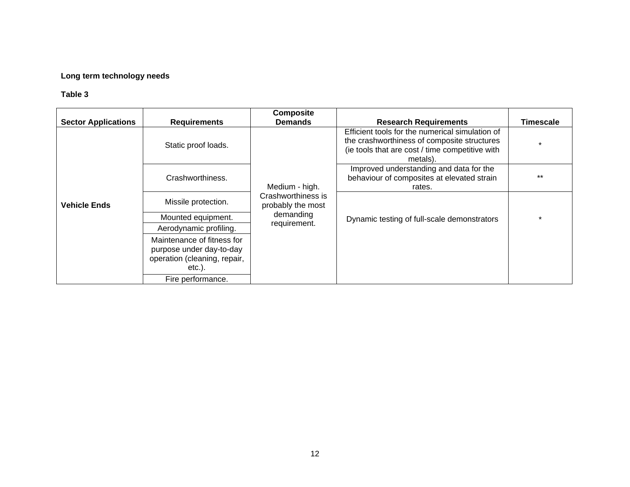#### **Long term technology needs**

|                            |                                                                                                     | <b>Composite</b>                        |                                                                                                 |                                                                                                                                                               |  |
|----------------------------|-----------------------------------------------------------------------------------------------------|-----------------------------------------|-------------------------------------------------------------------------------------------------|---------------------------------------------------------------------------------------------------------------------------------------------------------------|--|
| <b>Sector Applications</b> | <b>Requirements</b>                                                                                 | <b>Demands</b>                          | <b>Research Requirements</b>                                                                    | <b>Timescale</b>                                                                                                                                              |  |
|                            | Static proof loads.                                                                                 |                                         |                                                                                                 | Efficient tools for the numerical simulation of<br>the crashworthiness of composite structures<br>(ie tools that are cost / time competitive with<br>metals). |  |
|                            | Crashworthiness.                                                                                    | Medium - high.                          | Improved understanding and data for the<br>behaviour of composites at elevated strain<br>rates. | $***$                                                                                                                                                         |  |
| <b>Vehicle Ends</b>        | Missile protection.                                                                                 | Crashworthiness is<br>probably the most |                                                                                                 |                                                                                                                                                               |  |
|                            | Mounted equipment.                                                                                  | demanding                               | Dynamic testing of full-scale demonstrators                                                     |                                                                                                                                                               |  |
|                            | Aerodynamic profiling.                                                                              | requirement.                            |                                                                                                 |                                                                                                                                                               |  |
|                            | Maintenance of fitness for<br>purpose under day-to-day<br>operation (cleaning, repair,<br>$etc.$ ). |                                         |                                                                                                 |                                                                                                                                                               |  |
|                            | Fire performance.                                                                                   |                                         |                                                                                                 |                                                                                                                                                               |  |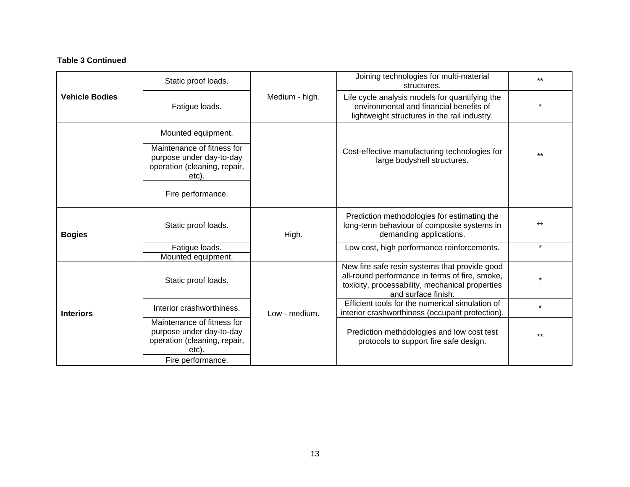#### **Table 3 Continued**

|                       | Static proof loads.                                                                             |                | Joining technologies for multi-material<br>structures.                                                                                                                    | $**$    |
|-----------------------|-------------------------------------------------------------------------------------------------|----------------|---------------------------------------------------------------------------------------------------------------------------------------------------------------------------|---------|
| <b>Vehicle Bodies</b> | Fatigue loads.                                                                                  | Medium - high. | Life cycle analysis models for quantifying the<br>environmental and financial benefits of<br>lightweight structures in the rail industry.                                 |         |
|                       | Mounted equipment.                                                                              |                |                                                                                                                                                                           |         |
|                       | Maintenance of fitness for<br>purpose under day-to-day<br>operation (cleaning, repair,<br>etc). |                | Cost-effective manufacturing technologies for<br>large bodyshell structures.                                                                                              | $***$   |
|                       | Fire performance.                                                                               |                |                                                                                                                                                                           |         |
| <b>Bogies</b>         | Static proof loads.                                                                             | High.          | Prediction methodologies for estimating the<br>long-term behaviour of composite systems in<br>demanding applications.                                                     | $***$   |
|                       | Fatigue loads.                                                                                  |                | Low cost, high performance reinforcements.                                                                                                                                | $\star$ |
|                       | Mounted equipment.                                                                              |                |                                                                                                                                                                           |         |
|                       | Static proof loads.                                                                             |                | New fire safe resin systems that provide good<br>all-round performance in terms of fire, smoke,<br>toxicity, processability, mechanical properties<br>and surface finish. |         |
| <b>Interiors</b>      | Interior crashworthiness.                                                                       | Low - medium.  | Efficient tools for the numerical simulation of<br>interior crashworthiness (occupant protection).                                                                        | $\star$ |
|                       | Maintenance of fitness for<br>purpose under day-to-day<br>operation (cleaning, repair,<br>etc)  |                | Prediction methodologies and low cost test<br>protocols to support fire safe design.                                                                                      | $***$   |
|                       | Fire performance.                                                                               |                |                                                                                                                                                                           |         |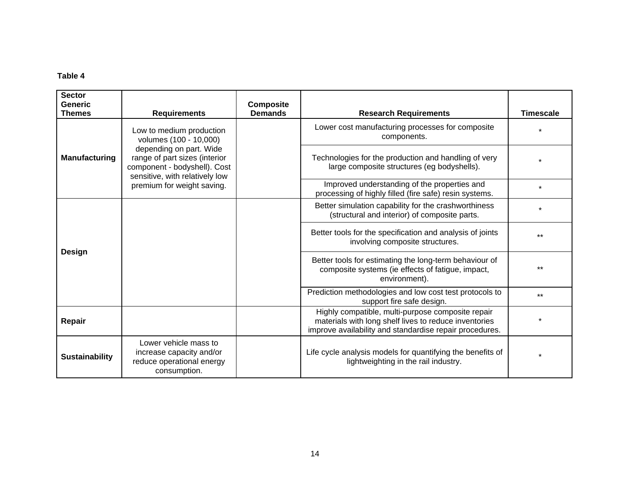| <b>Sector</b><br>Generic<br><b>Themes</b> | <b>Requirements</b>                                                                                                        | <b>Composite</b><br><b>Demands</b> | <b>Research Requirements</b>                                                                                                                                          | <b>Timescale</b> |
|-------------------------------------------|----------------------------------------------------------------------------------------------------------------------------|------------------------------------|-----------------------------------------------------------------------------------------------------------------------------------------------------------------------|------------------|
|                                           | Low to medium production<br>volumes (100 - 10,000)                                                                         |                                    | Lower cost manufacturing processes for composite<br>components.                                                                                                       |                  |
| Manufacturing                             | depending on part. Wide<br>range of part sizes (interior<br>component - bodyshell). Cost<br>sensitive, with relatively low |                                    | Technologies for the production and handling of very<br>large composite structures (eg bodyshells).                                                                   |                  |
|                                           | premium for weight saving.                                                                                                 |                                    | Improved understanding of the properties and<br>processing of highly filled (fire safe) resin systems.                                                                | $\star$          |
|                                           |                                                                                                                            |                                    | Better simulation capability for the crashworthiness<br>(structural and interior) of composite parts.                                                                 |                  |
|                                           |                                                                                                                            |                                    | Better tools for the specification and analysis of joints<br>involving composite structures.                                                                          | $***$            |
| Design                                    |                                                                                                                            |                                    | Better tools for estimating the long-term behaviour of<br>composite systems (ie effects of fatigue, impact,<br>environment).                                          | $***$            |
|                                           |                                                                                                                            |                                    | Prediction methodologies and low cost test protocols to<br>support fire safe design.                                                                                  | $***$            |
| Repair                                    |                                                                                                                            |                                    | Highly compatible, multi-purpose composite repair<br>materials with long shelf lives to reduce inventories<br>improve availability and standardise repair procedures. |                  |
| <b>Sustainability</b>                     | Lower vehicle mass to<br>increase capacity and/or<br>reduce operational energy<br>consumption.                             |                                    | Life cycle analysis models for quantifying the benefits of<br>lightweighting in the rail industry.                                                                    |                  |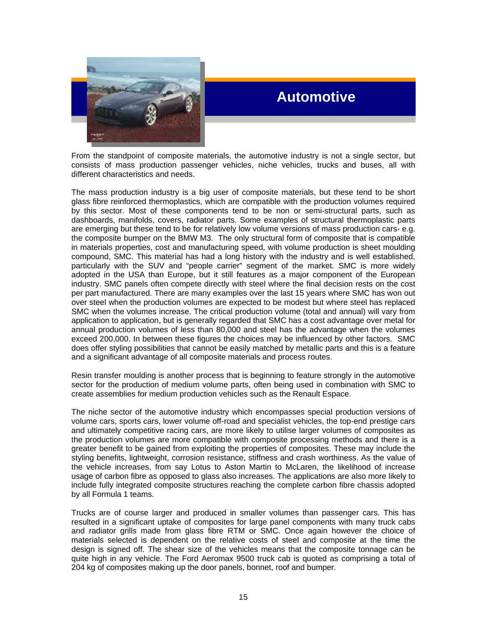

## **Automotive**

From the standpoint of composite materials, the automotive industry is not a single sector, but consists of mass production passenger vehicles, niche vehicles, trucks and buses, all with different characteristics and needs.

The mass production industry is a big user of composite materials, but these tend to be short glass fibre reinforced thermoplastics, which are compatible with the production volumes required by this sector. Most of these components tend to be non or semi-structural parts, such as dashboards, manifolds, covers, radiator parts. Some examples of structural thermoplastic parts are emerging but these tend to be for relatively low volume versions of mass production cars- e.g. the composite bumper on the BMW M3. The only structural form of composite that is compatible in materials properties, cost and manufacturing speed, with volume production is sheet moulding compound, SMC. This material has had a long history with the industry and is well established, particularly with the SUV and "people carrier" segment of the market. SMC is more widely adopted in the USA than Europe, but it still features as a major component of the European industry. SMC panels often compete directly with steel where the final decision rests on the cost per part manufactured. There are many examples over the last 15 years where SMC has won out over steel when the production volumes are expected to be modest but where steel has replaced SMC when the volumes increase. The critical production volume (total and annual) will vary from application to application, but is generally regarded that SMC has a cost advantage over metal for annual production volumes of less than 80,000 and steel has the advantage when the volumes exceed 200,000. In between these figures the choices may be influenced by other factors. SMC does offer styling possibilities that cannot be easily matched by metallic parts and this is a feature and a significant advantage of all composite materials and process routes.

Resin transfer moulding is another process that is beginning to feature strongly in the automotive sector for the production of medium volume parts, often being used in combination with SMC to create assemblies for medium production vehicles such as the Renault Espace.

The niche sector of the automotive industry which encompasses special production versions of volume cars, sports cars, lower volume off-road and specialist vehicles, the top-end prestige cars and ultimately competitive racing cars, are more likely to utilise larger volumes of composites as the production volumes are more compatible with composite processing methods and there is a greater benefit to be gained from exploiting the properties of composites. These may include the styling benefits, lightweight, corrosion resistance, stiffness and crash worthiness. As the value of the vehicle increases, from say Lotus to Aston Martin to McLaren, the likelihood of increase usage of carbon fibre as opposed to glass also increases. The applications are also more likely to include fully integrated composite structures reaching the complete carbon fibre chassis adopted by all Formula 1 teams.

204 kg of composites making up the door panels, bonnet, roof and bumper. Trucks are of course larger and produced in smaller volumes than passenger cars. This has resulted in a significant uptake of composites for large panel components with many truck cabs and radiator grills made from glass fibre RTM or SMC. Once again however the choice of materials selected is dependent on the relative costs of steel and composite at the time the design is signed off. The shear size of the vehicles means that the composite tonnage can be quite high in any vehicle. The Ford Aeromax 9500 truck cab is quoted as comprising a total of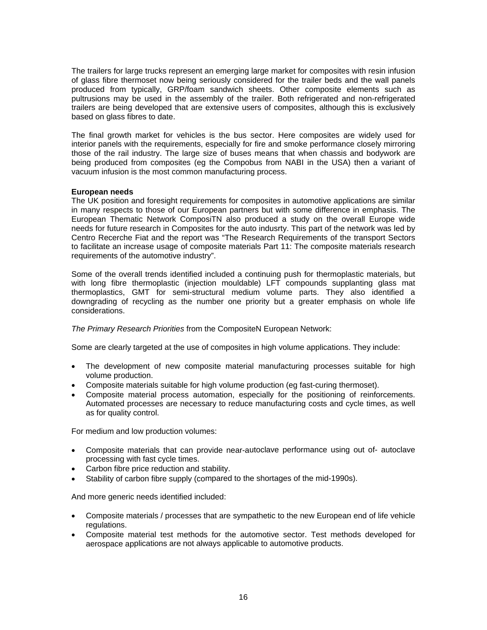The trailers for large trucks represent an emerging large market for composites with resin infusion of glass fibre thermoset now being seriously considered for the trailer beds and the wall panels produced from typically, GRP/foam sandwich sheets. Other composite elements such as pultrusions may be used in the assembly of the trailer. Both refrigerated and non-refrigerated trailers are being developed that are extensive users of composites, although this is exclusively based on glass fibres to date.

The final growth market for vehicles is the bus sector. Here composites are widely used for interior panels with the requirements, especially for fire and smoke performance closely mirroring those of the rail industry. The large size of buses means that when chassis and bodywork are being produced from composites (eg the Compobus from NABI in the USA) then a variant of vacuum infusion is the most common manufacturing process.

#### **European needs**

The UK position and foresight requirements for composites in automotive applications are similar in many respects to those of our European partners but with some difference in emphasis. The European Thematic Network ComposiTN also produced a study on the overall Europe wide needs for future research in Composites for the auto indusrty. This part of the network was led by Centro Recerche Fiat and the report was "The Research Requirements of the transport Sectors to facilitate an increase usage of composite materials Part 11: The composite materials research requirements of the automotive industry".

Some of the overall trends identified included a continuing push for thermoplastic materials, but with long fibre thermoplastic (injection mouldable) LFT compounds supplanting glass mat thermoplastics, GMT for semi-structural medium volume parts. They also identified a downgrading of recycling as the number one priority but a greater emphasis on whole life considerations.

*The Primary Research Priorities from the CompositeN European Network:* 

Some are clearly targeted at the use of composites in high volume applications. They include:

- The development of new composite material manufacturing processes suitable for high volume production.
- Composite materials suitable for high volume production (eg fast-curing thermoset).
- Composite material process automation, especially for the positioning of reinforcements. Automated processes are necessary to reduce manufacturing costs and cycle times, as well as for quality control.

For medium and low production volumes:

- Composite materials that can provide near-autoclave performance using out of- autoclave processing with fast cycle times.
- Carbon fibre price reduction and stability.
- Stability of carbon fibre supply (compared to the shortages of the mid-1990s).

And more generic needs identified included:

- Composite materials / processes that are sympathetic to the new European end of life vehicle regulations.
- aerospace applications are not always applicable to automotive products. • Composite material test methods for the automotive sector. Test methods developed for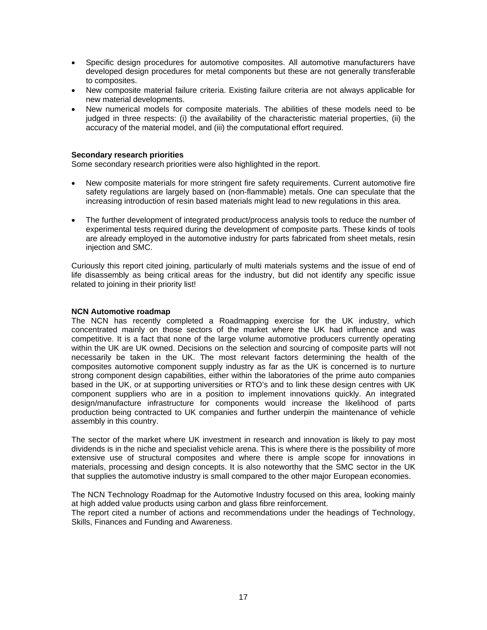- Specific design procedures for automotive composites. All automotive manufacturers have developed design procedures for metal components but these are not generally transferable to composites.
- New composite material failure criteria. Existing failure criteria are not always applicable for new material developments.
- New numerical models for composite materials. The abilities of these models need to be judged in three respects: (i) the availability of the characteristic material properties, (ii) the accuracy of the material model, and (iii) the computational effort required.

#### **Secondary research priorities**

Some secondary research priorities were also highlighted in the report.

- New composite materials for more stringent fire safety requirements. Current automotive fire safety regulations are largely based on (non-flammable) metals. One can speculate that the increasing introduction of resin based materials might lead to new regulations in this area.
- The further development of integrated product/process analysis tools to reduce the number of experimental tests required during the development of composite parts. These kinds of tools are already employed in the automotive industry for parts fabricated from sheet metals, resin injection and SMC.

Curiously this report cited joining, particularly of multi materials systems and the issue of end of life disassembly as being critical areas for the industry, but did not identify any specific issue related to joining in their priority list!

#### **NCN Automotive roadmap**

The NCN has recently completed a Roadmapping exercise for the UK industry, which concentrated mainly on those sectors of the market where the UK had influence and was competitive. It is a fact that none of the large volume automotive producers currently operating within the UK are UK owned. Decisions on the selection and sourcing of composite parts will not necessarily be taken in the UK. The most relevant factors determining the health of the composites automotive component supply industry as far as the UK is concerned is to nurture strong component design capabilities, either within the laboratories of the prime auto companies based in the UK, or at supporting universities or RTO's and to link these design centres with UK component suppliers who are in a position to implement innovations quickly. An integrated design/manufacture infrastructure for components would increase the likelihood of parts production being contracted to UK companies and further underpin the maintenance of vehicle assembly in this country.

The sector of the market where UK investment in research and innovation is likely to pay most dividends is in the niche and specialist vehicle arena. This is where there is the possibility of more extensive use of structural composites and where there is ample scope for innovations in materials, processing and design concepts. It is also noteworthy that the SMC sector in the UK that supplies the automotive industry is small compared to the other major European economies.

The NCN Technology Roadmap for the Automotive Industry focused on this area, looking mainly at high added value products using carbon and glass fibre reinforcement.

The report cited a number of actions and recommendations under the headings of Technology, Skills, Finances and Funding and Awareness.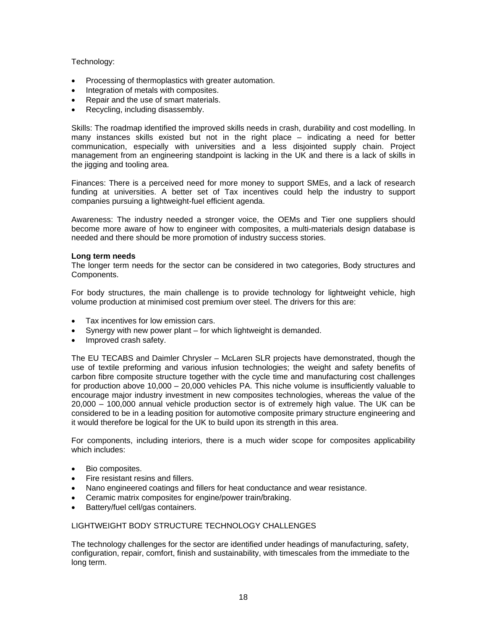#### Technology:

- Processing of thermoplastics with greater automation.
- Integration of metals with composites.
- Repair and the use of smart materials.
- Recycling, including disassembly.

Skills: The roadmap identified the improved skills needs in crash, durability and cost modelling. In many instances skills existed but not in the right place – indicating a need for better communication, especially with universities and a less disjointed supply chain. Project management from an engineering standpoint is lacking in the UK and there is a lack of skills in the jigging and tooling area.

Finances: There is a perceived need for more money to support SMEs, and a lack of research funding at universities. A better set of Tax incentives could help the industry to support companies pursuing a lightweight-fuel efficient agenda.

Awareness: The industry needed a stronger voice, the OEMs and Tier one suppliers should become more aware of how to engineer with composites, a multi-materials design database is needed and there should be more promotion of industry success stories.

#### **Long term needs**

The longer term needs for the sector can be considered in two categories, Body structures and Components.

For body structures, the main challenge is to provide technology for lightweight vehicle, high volume production at minimised cost premium over steel. The drivers for this are:

- Tax incentives for low emission cars.
- Synergy with new power plant for which lightweight is demanded.
- Improved crash safety.

The EU TECABS and Daimler Chrysler – McLaren SLR projects have demonstrated, though the use of textile preforming and various infusion technologies; the weight and safety benefits of carbon fibre composite structure together with the cycle time and manufacturing cost challenges for production above 10,000 – 20,000 vehicles PA. This niche volume is insufficiently valuable to encourage major industry investment in new composites technologies, whereas the value of the 20,000 – 100,000 annual vehicle production sector is of extremely high value. The UK can be considered to be in a leading position for automotive composite primary structure engineering and it would therefore be logical for the UK to build upon its strength in this area.

For components, including interiors, there is a much wider scope for composites applicability which includes:

- Bio composites.
- Fire resistant resins and fillers.
- Nano engineered coatings and fillers for heat conductance and wear resistance.
- Ceramic matrix composites for engine/power train/braking.
- Battery/fuel cell/gas containers.

#### LIGHTWEIGHT BODY STRUCTURE TECHNOLOGY CHALLENGES

The technology challenges for the sector are identified under headings of manufacturing, safety, configuration, repair, comfort, finish and sustainability, with timescales from the immediate to the long term.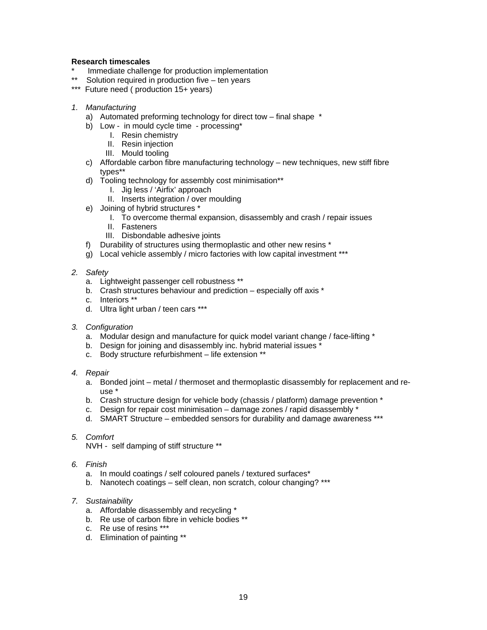#### **Research timescales**

- Immediate challenge for production implementation
- Solution required in production five  $-$  ten years
- \*\*\* Future need ( production 15+ years)
- *1. Manufacturing* 
	- a) Automated preforming technology for direct tow final shape \*
	- b) Low in mould cycle time processing\*
		- I. Resin chemistry
		- II. Resin injection
		- III. Mould tooling
	- c) Affordable carbon fibre manufacturing technology new techniques, new stiff fibre types\*\*
	- d) Tooling technology for assembly cost minimisation\*\*
		- I. Jig less / 'Airfix' approach
		- II. Inserts integration / over moulding
	- e) Joining of hybrid structures \*
		- I. To overcome thermal expansion, disassembly and crash / repair issues
		- II. Fasteners
		- III. Disbondable adhesive joints
	- f) Durability of structures using thermoplastic and other new resins \*
	- g) Local vehicle assembly / micro factories with low capital investment \*\*\*
- *2. Safety* 
	- a. Lightweight passenger cell robustness \*\*
	- b. Crash structures behaviour and prediction especially off axis \*
	- c. Interiors \*\*
	- d. Ultra light urban / teen cars \*\*\*
- *3. Configuration* 
	- a. Modular design and manufacture for quick model variant change / face-lifting \*
	- b. Design for joining and disassembly inc. hybrid material issues  $*$
	- c. Body structure refurbishment life extension \*\*
- *4. Repair* 
	- a. Bonded joint metal / thermoset and thermoplastic disassembly for replacement and reuse \*
	- b. Crash structure design for vehicle body (chassis / platform) damage prevention \*
	- c. Design for repair cost minimisation damage zones / rapid disassembly \*
	- d. SMART Structure embedded sensors for durability and damage awareness \*\*\*
- *5. Comfort* 
	- NVH self damping of stiff structure \*\*
- *6. Finish* 
	- a. In mould coatings / self coloured panels / textured surfaces\*
	- b. Nanotech coatings self clean, non scratch, colour changing? \*\*\*
- *7. Sustainability* 
	- a. Affordable disassembly and recycling \*
	- b. Re use of carbon fibre in vehicle bodies \*\*
	- c. Re use of resins \*\*\*
	- d. Elimination of painting \*\*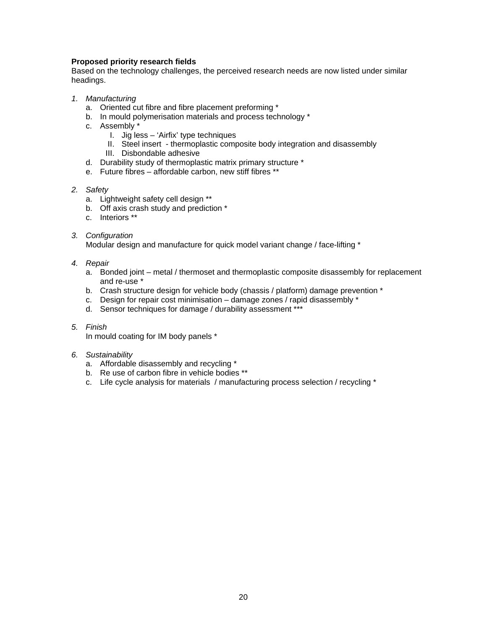#### **Proposed priority research fields**

Based on the technology challenges, the perceived research needs are now listed under similar headings.

- *1. Manufacturing* 
	- a. Oriented cut fibre and fibre placement preforming \*
	- b. In mould polymerisation materials and process technology \*
	- c. Assembly \*
		- I. Jig less 'Airfix' type techniques
		- II. Steel insert thermoplastic composite body integration and disassembly
		- III. Disbondable adhesive
	- d. Durability study of thermoplastic matrix primary structure \*
	- e. Future fibres affordable carbon, new stiff fibres \*\*
- *2. Safety* 
	- a. Lightweight safety cell design \*\*
	- b. Off axis crash study and prediction \*
	- c. Interiors \*\*
- *3. Configuration*

Modular design and manufacture for quick model variant change / face-lifting \*

- *4. Repair* 
	- a. Bonded joint metal / thermoset and thermoplastic composite disassembly for replacement and re-use \*
	- b. Crash structure design for vehicle body (chassis / platform) damage prevention \*
	- c. Design for repair cost minimisation damage zones / rapid disassembly \*
	- d. Sensor techniques for damage / durability assessment \*\*\*
- *5. Finish*

In mould coating for IM body panels \*

- *6. Sustainability* 
	- a. Affordable disassembly and recycling \*
	- b. Re use of carbon fibre in vehicle bodies \*\*
	- c. Life cycle analysis for materials / manufacturing process selection / recycling \*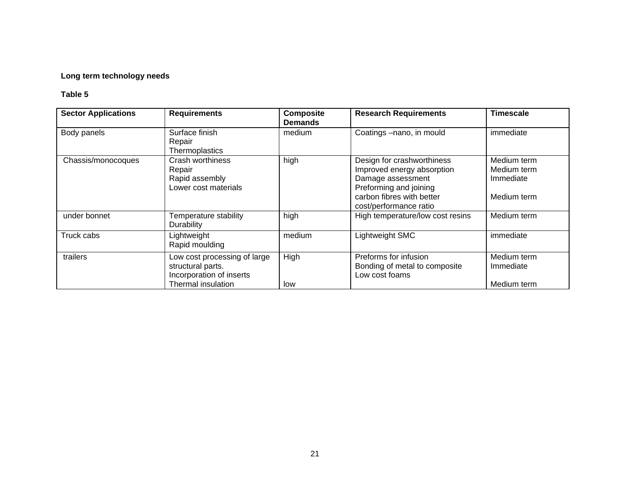#### **Long term technology needs**

| <b>Sector Applications</b> | <b>Requirements</b>                                                                                 | <b>Composite</b><br><b>Demands</b> | <b>Research Requirements</b>                                                                                                                                   | <b>Timescale</b>                                       |
|----------------------------|-----------------------------------------------------------------------------------------------------|------------------------------------|----------------------------------------------------------------------------------------------------------------------------------------------------------------|--------------------------------------------------------|
| Body panels                | Surface finish<br>Repair<br>Thermoplastics                                                          | medium                             | Coatings -nano, in mould                                                                                                                                       | immediate                                              |
| Chassis/monocoques         | Crash worthiness<br>Repair<br>Rapid assembly<br>Lower cost materials                                | high                               | Design for crashworthiness<br>Improved energy absorption<br>Damage assessment<br>Preforming and joining<br>carbon fibres with better<br>cost/performance ratio | Medium term<br>Medium term<br>Immediate<br>Medium term |
| under bonnet               | Temperature stability<br><b>Durability</b>                                                          | high                               | High temperature/low cost resins                                                                                                                               | Medium term                                            |
| Truck cabs                 | Lightweight<br>Rapid moulding                                                                       | medium                             | Lightweight SMC                                                                                                                                                | immediate                                              |
| trailers                   | Low cost processing of large<br>structural parts.<br>Incorporation of inserts<br>Thermal insulation | High<br>low                        | Preforms for infusion<br>Bonding of metal to composite<br>Low cost foams                                                                                       | Medium term<br>Immediate<br>Medium term                |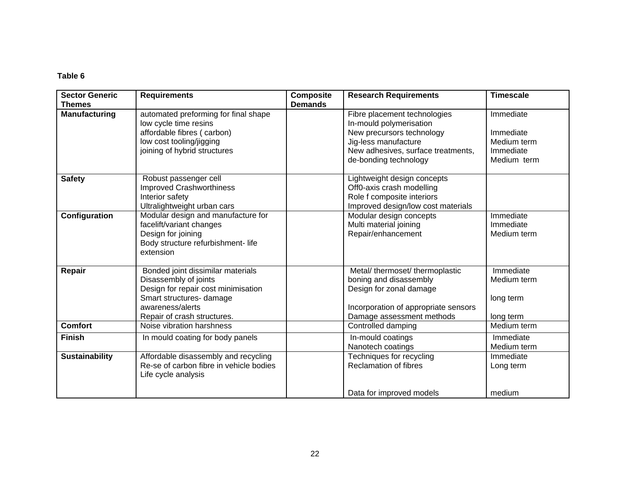| <b>Sector Generic</b><br><b>Themes</b> | <b>Requirements</b>                                                                                                                                                              | <b>Composite</b><br><b>Demands</b> | <b>Research Requirements</b>                                                                                                                                                | <b>Timescale</b>                                                  |
|----------------------------------------|----------------------------------------------------------------------------------------------------------------------------------------------------------------------------------|------------------------------------|-----------------------------------------------------------------------------------------------------------------------------------------------------------------------------|-------------------------------------------------------------------|
| <b>Manufacturing</b>                   | automated preforming for final shape<br>low cycle time resins<br>affordable fibres (carbon)<br>low cost tooling/jigging<br>joining of hybrid structures                          |                                    | Fibre placement technologies<br>In-mould polymerisation<br>New precursors technology<br>Jig-less manufacture<br>New adhesives, surface treatments,<br>de-bonding technology | Immediate<br>Immediate<br>Medium term<br>Immediate<br>Medium term |
| <b>Safety</b>                          | Robust passenger cell<br><b>Improved Crashworthiness</b><br>Interior safety<br>Ultralightweight urban cars                                                                       |                                    | Lightweight design concepts<br>Off0-axis crash modelling<br>Role f composite interiors<br>Improved design/low cost materials                                                |                                                                   |
| Configuration                          | Modular design and manufacture for<br>facelift/variant changes<br>Design for joining<br>Body structure refurbishment- life<br>extension                                          |                                    | Modular design concepts<br>Multi material joining<br>Repair/enhancement                                                                                                     | Immediate<br>Immediate<br>Medium term                             |
| Repair                                 | Bonded joint dissimilar materials<br>Disassembly of joints<br>Design for repair cost minimisation<br>Smart structures- damage<br>awareness/alerts<br>Repair of crash structures. |                                    | Metal/ thermoset/ thermoplastic<br>boning and disassembly<br>Design for zonal damage<br>Incorporation of appropriate sensors<br>Damage assessment methods                   | Immediate<br>Medium term<br>long term<br>long term                |
| <b>Comfort</b>                         | Noise vibration harshness                                                                                                                                                        |                                    | Controlled damping                                                                                                                                                          | Medium term                                                       |
| <b>Finish</b>                          | In mould coating for body panels                                                                                                                                                 |                                    | In-mould coatings<br>Nanotech coatings                                                                                                                                      | Immediate<br>Medium term                                          |
| <b>Sustainability</b>                  | Affordable disassembly and recycling<br>Re-se of carbon fibre in vehicle bodies<br>Life cycle analysis                                                                           |                                    | Techniques for recycling<br><b>Reclamation of fibres</b>                                                                                                                    | Immediate<br>Long term                                            |
|                                        |                                                                                                                                                                                  |                                    | Data for improved models                                                                                                                                                    | medium                                                            |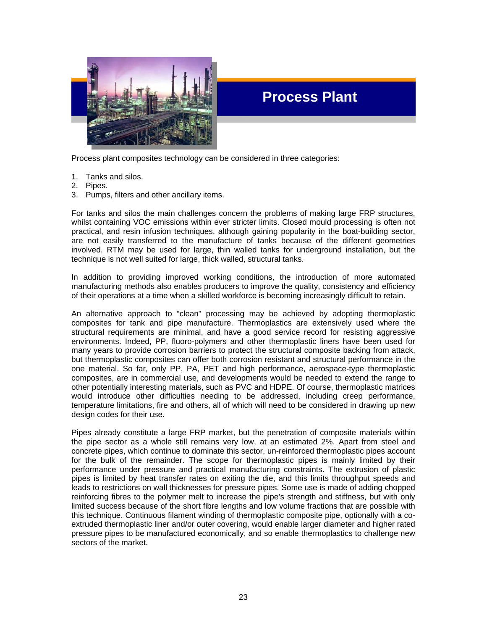

## **Process Plant**

Process plant composites technology can be considered in three categories:

- 1. Tanks and silos.
- 2. Pipes.
- 3. Pumps, filters and other ancillary items.

For tanks and silos the main challenges concern the problems of making large FRP structures, whilst containing VOC emissions within ever stricter limits. Closed mould processing is often not practical, and resin infusion techniques, although gaining popularity in the boat-building sector, are not easily transferred to the manufacture of tanks because of the different geometries involved. RTM may be used for large, thin walled tanks for underground installation, but the technique is not well suited for large, thick walled, structural tanks.

In addition to providing improved working conditions, the introduction of more automated manufacturing methods also enables producers to improve the quality, consistency and efficiency of their operations at a time when a skilled workforce is becoming increasingly difficult to retain.

An alternative approach to "clean" processing may be achieved by adopting thermoplastic composites for tank and pipe manufacture. Thermoplastics are extensively used where the structural requirements are minimal, and have a good service record for resisting aggressive environments. Indeed, PP, fluoro-polymers and other thermoplastic liners have been used for many years to provide corrosion barriers to protect the structural composite backing from attack, but thermoplastic composites can offer both corrosion resistant and structural performance in the one material. So far, only PP, PA, PET and high performance, aerospace-type thermoplastic composites, are in commercial use, and developments would be needed to extend the range to other potentially interesting materials, such as PVC and HDPE. Of course, thermoplastic matrices would introduce other difficulties needing to be addressed, including creep performance, temperature limitations, fire and others, all of which will need to be considered in drawing up new design codes for their use.

Pipes already constitute a large FRP market, but the penetration of composite materials within the pipe sector as a whole still remains very low, at an estimated 2%. Apart from steel and concrete pipes, which continue to dominate this sector, un-reinforced thermoplastic pipes account for the bulk of the remainder. The scope for thermoplastic pipes is mainly limited by their performance under pressure and practical manufacturing constraints. The extrusion of plastic pipes is limited by heat transfer rates on exiting the die, and this limits throughput speeds and leads to restrictions on wall thicknesses for pressure pipes. Some use is made of adding chopped reinforcing fibres to the polymer melt to increase the pipe's strength and stiffness, but with only limited success because of the short fibre lengths and low volume fractions that are possible with this technique. Continuous filament winding of thermoplastic composite pipe, optionally with a coextruded thermoplastic liner and/or outer covering, would enable larger diameter and higher rated pressure pipes to be manufactured economically, and so enable thermoplastics to challenge new sectors of the market.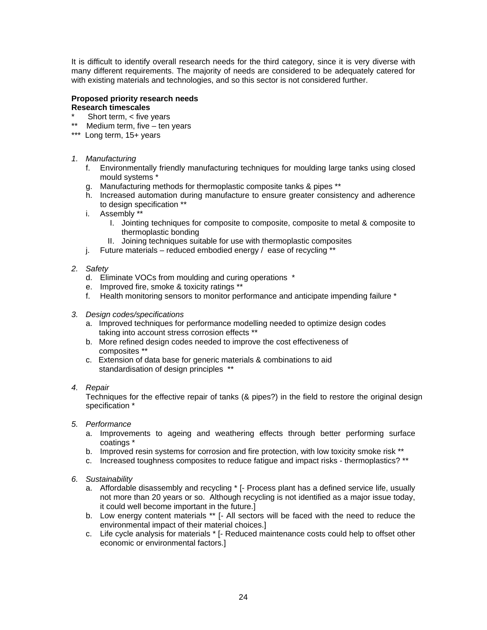It is difficult to identify overall research needs for the third category, since it is very diverse with many different requirements. The majority of needs are considered to be adequately catered for with existing materials and technologies, and so this sector is not considered further.

#### **Proposed priority research needs Research timescales**

- Short term,  $<$  five years
- \*\* Medium term, five ten years
- \*\*\* Long term, 15+ years
- *1. Manufacturing* 
	- f. Environmentally friendly manufacturing techniques for moulding large tanks using closed mould systems \*
	- g. Manufacturing methods for thermoplastic composite tanks & pipes \*\*
	- h. Increased automation during manufacture to ensure greater consistency and adherence to design specification \*\*
	- i. Assembly \*\*
		- I. Jointing techniques for composite to composite, composite to metal & composite to thermoplastic bonding
		- II. Joining techniques suitable for use with thermoplastic composites
	- j. Future materials reduced embodied energy / ease of recycling \*\*
- *2. Safety* 
	- d. Eliminate VOCs from moulding and curing operations \*
	- e. Improved fire, smoke & toxicity ratings \*\*
	- f. Health monitoring sensors to monitor performance and anticipate impending failure \*
- *3. Design codes/specifications* 
	- a. Improved techniques for performance modelling needed to optimize design codes taking into account stress corrosion effects \*\*
	- b. More refined design codes needed to improve the cost effectiveness of composites \*\*
	- c. Extension of data base for generic materials & combinations to aid standardisation of design principles \*\*
- *4. Repair*

Techniques for the effective repair of tanks (& pipes?) in the field to restore the original design specification \*

- *5. Performance* 
	- a. Improvements to ageing and weathering effects through better performing surface coatings \*
	- b. Improved resin systems for corrosion and fire protection, with low toxicity smoke risk \*\*
	- c. Increased toughness composites to reduce fatigue and impact risks thermoplastics? \*\*
- *6. Sustainability* 
	- a. Affordable disassembly and recycling \* [- Process plant has a defined service life, usually not more than 20 years or so. Although recycling is not identified as a major issue today, it could well become important in the future.]
	- b. Low energy content materials \*\* [- All sectors will be faced with the need to reduce the environmental impact of their material choices.]
	- c. Life cycle analysis for materials \* [- Reduced maintenance costs could help to offset other economic or environmental factors.]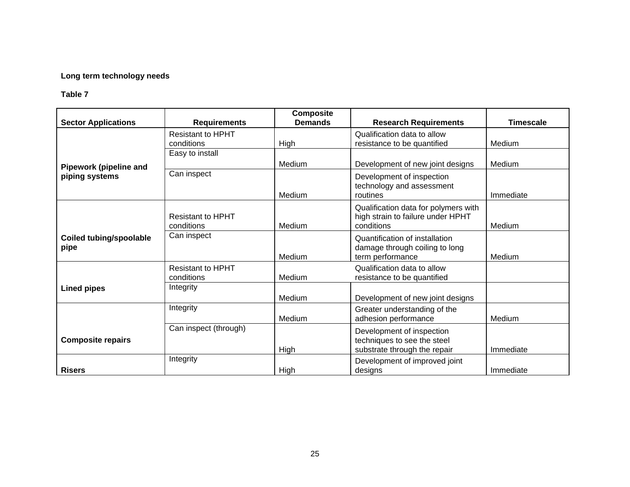#### **Long term technology needs**

| <b>Sector Applications</b>             | <b>Requirements</b>                    | <b>Composite</b><br><b>Demands</b> | <b>Research Requirements</b>                                                             | <b>Timescale</b> |
|----------------------------------------|----------------------------------------|------------------------------------|------------------------------------------------------------------------------------------|------------------|
|                                        | <b>Resistant to HPHT</b><br>conditions | High                               | Qualification data to allow<br>resistance to be quantified                               | Medium           |
| Pipework (pipeline and                 | Easy to install                        | Medium                             | Development of new joint designs                                                         | Medium           |
| piping systems                         | Can inspect                            | Medium                             | Development of inspection<br>technology and assessment<br>routines                       | Immediate        |
|                                        | <b>Resistant to HPHT</b><br>conditions | Medium                             | Qualification data for polymers with<br>high strain to failure under HPHT<br>conditions  | Medium           |
| <b>Coiled tubing/spoolable</b><br>pipe | Can inspect                            | Medium                             | Quantification of installation<br>damage through coiling to long<br>term performance     | Medium           |
|                                        | <b>Resistant to HPHT</b><br>conditions | Medium                             | Qualification data to allow<br>resistance to be quantified                               |                  |
| <b>Lined pipes</b>                     | Integrity                              | Medium                             | Development of new joint designs                                                         |                  |
|                                        | Integrity                              | Medium                             | Greater understanding of the<br>adhesion performance                                     | Medium           |
| <b>Composite repairs</b>               | Can inspect (through)                  | High                               | Development of inspection<br>techniques to see the steel<br>substrate through the repair | Immediate        |
| <b>Risers</b>                          | Integrity                              | High                               | Development of improved joint<br>designs                                                 | Immediate        |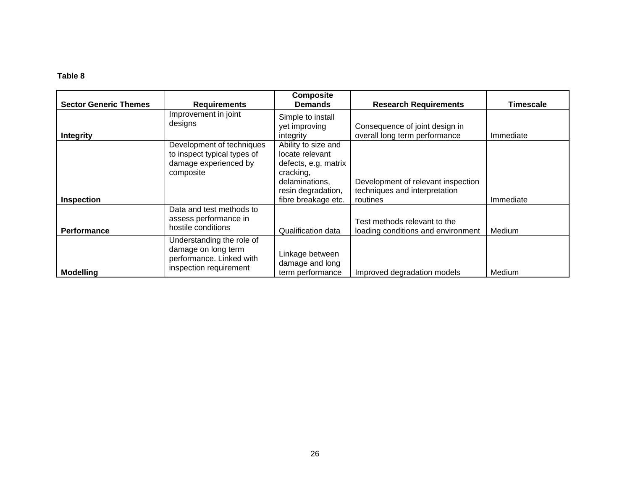| <b>Sector Generic Themes</b> | <b>Requirements</b>                                                                                    | <b>Composite</b><br><b>Demands</b>                                                                                                         | <b>Research Requirements</b>                                                    | <b>Timescale</b> |
|------------------------------|--------------------------------------------------------------------------------------------------------|--------------------------------------------------------------------------------------------------------------------------------------------|---------------------------------------------------------------------------------|------------------|
| <b>Integrity</b>             | Improvement in joint<br>designs                                                                        | Simple to install<br>yet improving<br>integrity                                                                                            | Consequence of joint design in<br>overall long term performance                 | Immediate        |
| <b>Inspection</b>            | Development of techniques<br>to inspect typical types of<br>damage experienced by<br>composite         | Ability to size and<br>locate relevant<br>defects, e.g. matrix<br>cracking,<br>delaminations,<br>resin degradation,<br>fibre breakage etc. | Development of relevant inspection<br>techniques and interpretation<br>routines | Immediate        |
| <b>Performance</b>           | Data and test methods to<br>assess performance in<br>hostile conditions                                | <b>Qualification data</b>                                                                                                                  | Test methods relevant to the<br>loading conditions and environment              | Medium           |
| <b>Modelling</b>             | Understanding the role of<br>damage on long term<br>performance. Linked with<br>inspection requirement | Linkage between<br>damage and long<br>term performance                                                                                     | Improved degradation models                                                     | Medium           |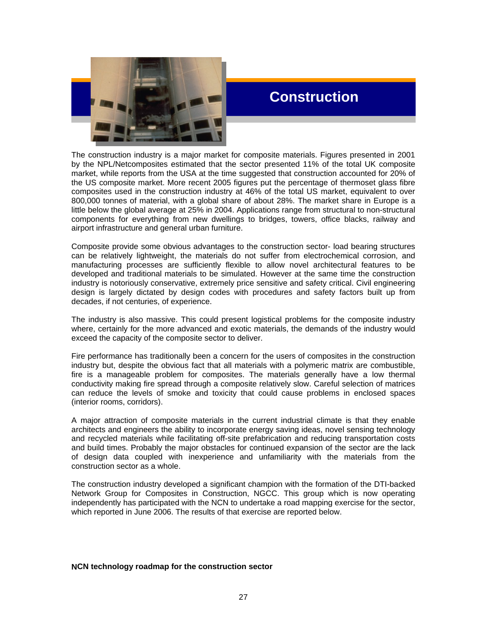

### **Construction**

The construction industry is a major market for composite materials. Figures presented in 2001 by the NPL/Netcomposites estimated that the sector presented 11% of the total UK composite market, while reports from the USA at the time suggested that construction accounted for 20% of the US composite market. More recent 2005 figures put the percentage of thermoset glass fibre composites used in the construction industry at 46% of the total US market, equivalent to over 800,000 tonnes of material, with a global share of about 28%. The market share in Europe is a little below the global average at 25% in 2004. Applications range from structural to non-structural components for everything from new dwellings to bridges, towers, office blacks, railway and airport infrastructure and general urban furniture.

Composite provide some obvious advantages to the construction sector- load bearing structures can be relatively lightweight, the materials do not suffer from electrochemical corrosion, and manufacturing processes are sufficiently flexible to allow novel architectural features to be developed and traditional materials to be simulated. However at the same time the construction industry is notoriously conservative, extremely price sensitive and safety critical. Civil engineering design is largely dictated by design codes with procedures and safety factors built up from decades, if not centuries, of experience.

The industry is also massive. This could present logistical problems for the composite industry where, certainly for the more advanced and exotic materials, the demands of the industry would exceed the capacity of the composite sector to deliver.

Fire performance has traditionally been a concern for the users of composites in the construction industry but, despite the obvious fact that all materials with a polymeric matrix are combustible, fire is a manageable problem for composites. The materials generally have a low thermal conductivity making fire spread through a composite relatively slow. Careful selection of matrices can reduce the levels of smoke and toxicity that could cause problems in enclosed spaces (interior rooms, corridors).

A major attraction of composite materials in the current industrial climate is that they enable architects and engineers the ability to incorporate energy saving ideas, novel sensing technology and recycled materials while facilitating off-site prefabrication and reducing transportation costs and build times. Probably the major obstacles for continued expansion of the sector are the lack of design data coupled with inexperience and unfamiliarity with the materials from the construction sector as a whole.

The construction industry developed a significant champion with the formation of the DTI-backed Network Group for Composites in Construction, NGCC. This group which is now operating independently has participated with the NCN to undertake a road mapping exercise for the sector, which reported in June 2006. The results of that exercise are reported below.

#### **NCN technology roadmap for the construction sector**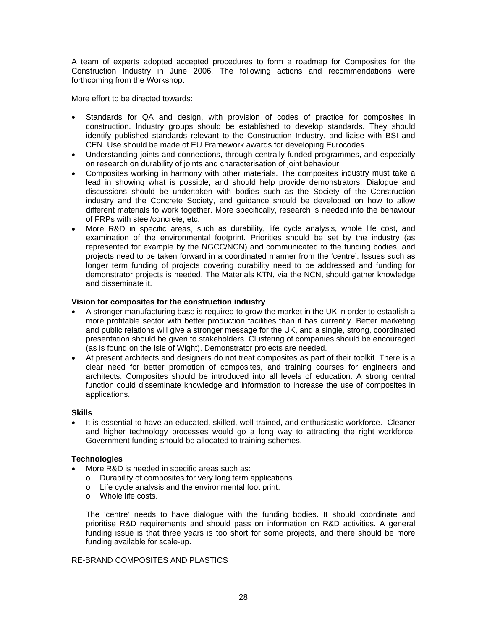A team of experts adopted accepted procedures to form a roadmap for Composites for the Construction Industry in June 2006. The following actions and recommendations were forthcoming from the Workshop:

More effort to be directed towards:

- Standards for QA and design, with provision of codes of practice for composites in • construction. Industry groups should be established to develop standards. They should identify published standards relevant to the Construction Industry, and liaise with BSI and CEN. Use should be made of EU Framework awards for developing Eurocodes.
- Understanding joints and connections, through centrally funded programmes, and especially on research on durability of joints and characterisation of joint behaviour.
- Composites working in harmony with other materials. The composites industry must take a lead in showing what is possible, and should help provide demonstrators. Dialogue and discussions should be undertaken with bodies such as the Society of the Construction industry and the Concrete Society, and guidance should be developed on how to allow different materials to work together. More specifically, research is needed into the behaviour of FRPs with steel/concrete, etc.
- More R&D in specific areas, such as durability, life cycle analysis, whole life cost, and examination of the environmental footprint. Priorities should be set by the industry (as represented for example by the NGCC/NCN) and communicated to the funding bodies, and projects need to be taken forward in a coordinated manner from the 'centre'. Issues such as longer term funding of projects covering durability need to be addressed and funding for demonstrator projects is needed. The Materials KTN, via the NCN, should gather knowledge and disseminate it.

#### **ision for composites for the construction industry V**

- A stronger manufacturing base is required to grow the market in the UK in order to establish a more profitable sector with better production facilities than it has currently. Better marketing and public relations will give a stronger message for the UK, and a single, strong, coordinated presentation should be given to stakeholders. Clustering of companies should be encouraged (as is found on the Isle of Wight). Demonstrator projects are needed.
- At present architects and designers do not treat composites as part of their toolkit. There is a clear need for better promotion of composites, and training courses for engineers and architects. Composites should be introduced into all levels of education. A strong central function could disseminate knowledge and information to increase the use of composites in applications.

#### **kills S**

• It is essential to have an educated, skilled, well-trained, and enthusiastic workforce. Cleaner and higher technology processes would go a long way to attracting the right workforce. Government funding should be allocated to training schemes.

#### **echnologies T**

- More R&D is needed in specific areas such as:
	- $\circ$  Durability of composites for very long term applications.
	- o Life cycle analysis and the environmental foot print.
	- o Whole life costs.

The 'centre' needs to have dialogue with the funding bodies. It should coordinate and prioritise R&D requirements and should pass on information on R&D activities. A general funding issue is that three years is too short for some projects, and there should be more funding available for scale-up.

#### RE-BRAND COMPOSITES AND PLASTICS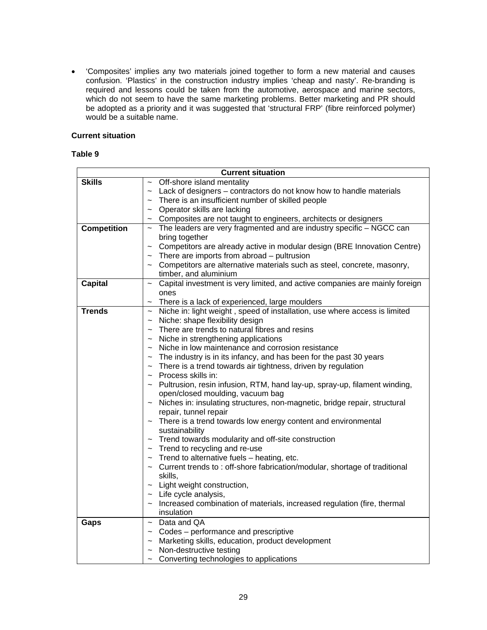• 'Composites' implies any two materials joined together to form a new material and causes confusion. 'Plastics' in the construction industry implies 'cheap and nasty'. Re-branding is required and lessons could be taken from the automotive, aerospace and marine sectors, which do not seem to have the same marketing problems. Better marketing and PR should be adopted as a priority and it was suggested that 'structural FRP' (fibre reinforced polymer) would be a suitable name.

#### **Current situation**

#### **able 9 T**

| <b>Current situation</b> |                                                                                                  |  |  |  |
|--------------------------|--------------------------------------------------------------------------------------------------|--|--|--|
| <b>Skills</b>            | Off-shore island mentality                                                                       |  |  |  |
|                          | Lack of designers - contractors do not know how to handle materials<br>$\widetilde{\phantom{m}}$ |  |  |  |
|                          | There is an insufficient number of skilled people                                                |  |  |  |
|                          | Operator skills are lacking<br>$\sim$                                                            |  |  |  |
|                          | Composites are not taught to engineers, architects or designers<br>$\sim$                        |  |  |  |
| <b>Competition</b>       | The leaders are very fragmented and are industry specific - NGCC can<br>$\sim$                   |  |  |  |
|                          | bring together                                                                                   |  |  |  |
|                          | Competitors are already active in modular design (BRE Innovation Centre)                         |  |  |  |
|                          | There are imports from abroad - pultrusion                                                       |  |  |  |
|                          | Competitors are alternative materials such as steel, concrete, masonry,                          |  |  |  |
|                          | timber, and aluminium                                                                            |  |  |  |
| <b>Capital</b>           | Capital investment is very limited, and active companies are mainly foreign                      |  |  |  |
|                          | ones                                                                                             |  |  |  |
|                          | There is a lack of experienced, large moulders<br>$\tilde{\phantom{a}}$                          |  |  |  |
| <b>Trends</b>            | Niche in: light weight, speed of installation, use where access is limited<br>$\thicksim$        |  |  |  |
|                          | Niche: shape flexibility design<br>$\widetilde{\phantom{m}}$                                     |  |  |  |
|                          | There are trends to natural fibres and resins<br>$\widetilde{\phantom{m}}$                       |  |  |  |
|                          | Niche in strengthening applications<br>$\tilde{}$                                                |  |  |  |
|                          | Niche in low maintenance and corrosion resistance                                                |  |  |  |
|                          | The industry is in its infancy, and has been for the past 30 years                               |  |  |  |
|                          | There is a trend towards air tightness, driven by regulation<br>$\thicksim$                      |  |  |  |
|                          | Process skills in:<br>$\sim$                                                                     |  |  |  |
|                          | Pultrusion, resin infusion, RTM, hand lay-up, spray-up, filament winding,                        |  |  |  |
|                          | open/closed moulding, vacuum bag                                                                 |  |  |  |
|                          | Niches in: insulating structures, non-magnetic, bridge repair, structural<br>$\thicksim$         |  |  |  |
|                          | repair, tunnel repair                                                                            |  |  |  |
|                          | There is a trend towards low energy content and environmental                                    |  |  |  |
|                          | sustainability                                                                                   |  |  |  |
|                          | Trend towards modularity and off-site construction                                               |  |  |  |
|                          | Trend to recycling and re-use                                                                    |  |  |  |
|                          | Trend to alternative fuels - heating, etc.                                                       |  |  |  |
|                          | Current trends to : off-shore fabrication/modular, shortage of traditional<br>$\sim$             |  |  |  |
|                          | skills,                                                                                          |  |  |  |
|                          | Light weight construction,<br>$\sim$                                                             |  |  |  |
|                          | $\sim$ Life cycle analysis,                                                                      |  |  |  |
|                          | Increased combination of materials, increased regulation (fire, thermal                          |  |  |  |
|                          | insulation                                                                                       |  |  |  |
| Gaps                     | Data and QA<br>$\widetilde{\phantom{m}}$                                                         |  |  |  |
|                          | Codes – performance and prescriptive<br>$\sim$                                                   |  |  |  |
|                          | Marketing skills, education, product development                                                 |  |  |  |
|                          | Non-destructive testing                                                                          |  |  |  |
|                          | Converting technologies to applications<br>$\thicksim$                                           |  |  |  |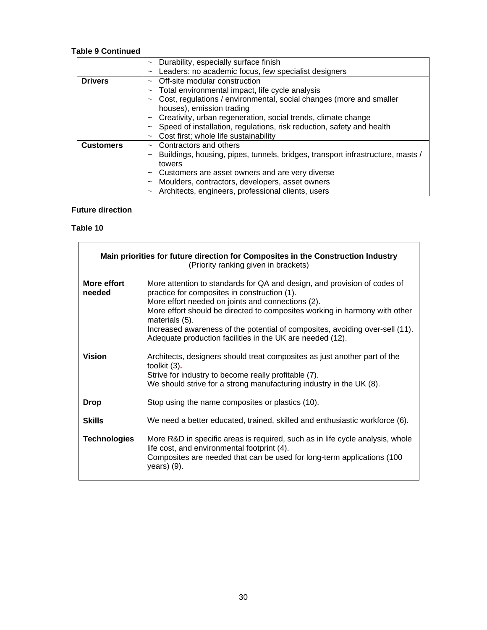#### **Table 9 Continued**

|                  | Durability, especially surface finish<br>$\sim$                                          |
|------------------|------------------------------------------------------------------------------------------|
|                  | Leaders: no academic focus, few specialist designers<br>$\sim$                           |
| <b>Drivers</b>   | Off-site modular construction<br>$\sim$                                                  |
|                  | Total environmental impact, life cycle analysis<br>$\sim$                                |
|                  | Cost, regulations / environmental, social changes (more and smaller<br>$\sim$            |
|                  | houses), emission trading                                                                |
|                  | Creativity, urban regeneration, social trends, climate change<br>$\thicksim$             |
|                  | Speed of installation, regulations, risk reduction, safety and health<br>$\sim$          |
|                  | Cost first; whole life sustainability                                                    |
| <b>Customers</b> | Contractors and others<br>$\sim$                                                         |
|                  | Buildings, housing, pipes, tunnels, bridges, transport infrastructure, masts /<br>$\sim$ |
|                  | towers                                                                                   |
|                  | Customers are asset owners and are very diverse<br>$\sim$                                |
|                  | Moulders, contractors, developers, asset owners<br>$\sim$                                |
|                  | Architects, engineers, professional clients, users<br>$\sim$                             |

#### **Future direction**

#### **able 10 T**

|                       | Main priorities for future direction for Composites in the Construction Industry<br>(Priority ranking given in brackets)                                                                                                                                                                                                                                                                                                   |  |  |  |  |  |
|-----------------------|----------------------------------------------------------------------------------------------------------------------------------------------------------------------------------------------------------------------------------------------------------------------------------------------------------------------------------------------------------------------------------------------------------------------------|--|--|--|--|--|
| More effort<br>needed | More attention to standards for QA and design, and provision of codes of<br>practice for composites in construction (1).<br>More effort needed on joints and connections (2).<br>More effort should be directed to composites working in harmony with other<br>materials (5).<br>Increased awareness of the potential of composites, avoiding over-sell (11).<br>Adequate production facilities in the UK are needed (12). |  |  |  |  |  |
| <b>Vision</b>         | Architects, designers should treat composites as just another part of the<br>toolkit (3).<br>Strive for industry to become really profitable (7).<br>We should strive for a strong manufacturing industry in the UK (8).                                                                                                                                                                                                   |  |  |  |  |  |
| <b>Drop</b>           | Stop using the name composites or plastics (10).                                                                                                                                                                                                                                                                                                                                                                           |  |  |  |  |  |
| <b>Skills</b>         | We need a better educated, trained, skilled and enthusiastic workforce (6).                                                                                                                                                                                                                                                                                                                                                |  |  |  |  |  |
| <b>Technologies</b>   | More R&D in specific areas is required, such as in life cycle analysis, whole<br>life cost, and environmental footprint (4).<br>Composites are needed that can be used for long-term applications (100<br>$year)$ (9).                                                                                                                                                                                                     |  |  |  |  |  |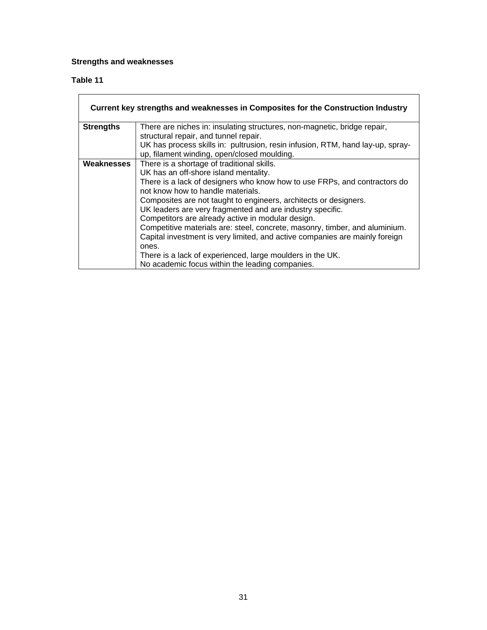#### **Strengths and weaknesses**

#### **Table 11**   $\overline{\phantom{a}}$

|                  | Current key strengths and weaknesses in Composites for the Construction Industry |
|------------------|----------------------------------------------------------------------------------|
| <b>Strengths</b> | There are niches in: insulating structures, non-magnetic, bridge repair,         |
|                  | structural repair, and tunnel repair.                                            |
|                  | UK has process skills in: pultrusion, resin infusion, RTM, hand lay-up, spray-   |
|                  | up, filament winding, open/closed moulding.                                      |
| Weaknesses       | There is a shortage of traditional skills.                                       |
|                  | UK has an off-shore island mentality.                                            |
|                  | There is a lack of designers who know how to use FRPs, and contractors do        |
|                  | not know how to handle materials.                                                |
|                  | Composites are not taught to engineers, architects or designers.                 |
|                  | UK leaders are very fragmented and are industry specific.                        |
|                  | Competitors are already active in modular design.                                |
|                  | Competitive materials are: steel, concrete, masonry, timber, and aluminium.      |
|                  | Capital investment is very limited, and active companies are mainly foreign      |
|                  | ones.                                                                            |
|                  | There is a lack of experienced, large moulders in the UK.                        |
|                  | No academic focus within the leading companies.                                  |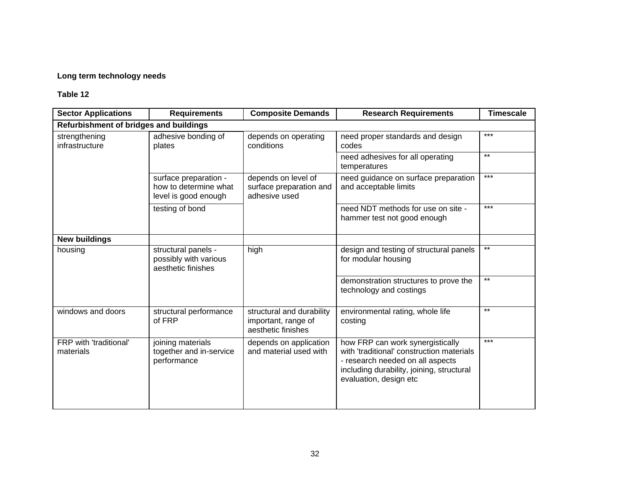#### **Long term technology needs**

| <b>Sector Applications</b>             | <b>Requirements</b>                                                    | <b>Composite Demands</b>                                               | <b>Research Requirements</b>                                                                                                                                                             | <b>Timescale</b> |
|----------------------------------------|------------------------------------------------------------------------|------------------------------------------------------------------------|------------------------------------------------------------------------------------------------------------------------------------------------------------------------------------------|------------------|
| Refurbishment of bridges and buildings |                                                                        |                                                                        |                                                                                                                                                                                          |                  |
| strengthening<br>infrastructure        | adhesive bonding of<br>plates                                          | depends on operating<br>conditions                                     | need proper standards and design<br>codes                                                                                                                                                | $***$            |
|                                        |                                                                        |                                                                        | need adhesives for all operating<br>temperatures                                                                                                                                         | $***$            |
|                                        | surface preparation -<br>how to determine what<br>level is good enough | depends on level of<br>surface preparation and<br>adhesive used        | need guidance on surface preparation<br>and acceptable limits                                                                                                                            | $***$            |
|                                        | testing of bond                                                        |                                                                        | need NDT methods for use on site -<br>hammer test not good enough                                                                                                                        | $***$            |
| <b>New buildings</b>                   |                                                                        |                                                                        |                                                                                                                                                                                          |                  |
| housing                                | structural panels -<br>possibly with various<br>aesthetic finishes     | high                                                                   | design and testing of structural panels<br>for modular housing                                                                                                                           | $***$            |
|                                        |                                                                        |                                                                        | demonstration structures to prove the<br>technology and costings                                                                                                                         | $***$            |
| windows and doors                      | structural performance<br>of FRP                                       | structural and durability<br>important, range of<br>aesthetic finishes | environmental rating, whole life<br>costing                                                                                                                                              | $***$            |
| FRP with 'traditional'<br>materials    | joining materials<br>together and in-service<br>performance            | depends on application<br>and material used with                       | how FRP can work synergistically<br>with 'traditional' construction materials<br>- research needed on all aspects<br>including durability, joining, structural<br>evaluation, design etc | ***              |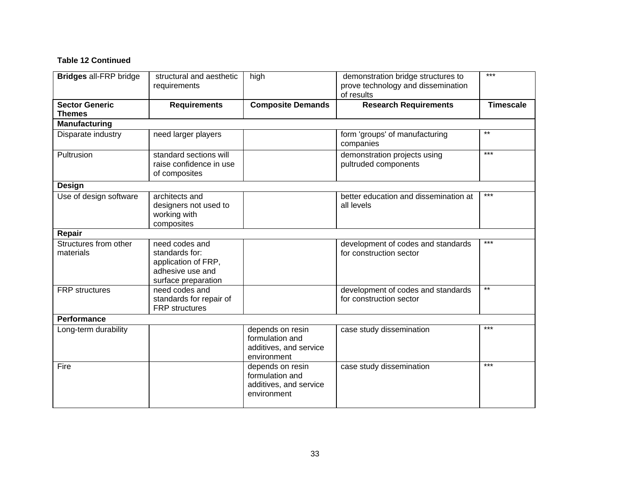#### **Table 12 Continued**

| <b>Bridges all-FRP bridge</b>          | structural and aesthetic<br>requirements                                                           | high                                                                         | demonstration bridge structures to<br>prove technology and dissemination<br>of results | $***$            |
|----------------------------------------|----------------------------------------------------------------------------------------------------|------------------------------------------------------------------------------|----------------------------------------------------------------------------------------|------------------|
| <b>Sector Generic</b><br><b>Themes</b> | <b>Requirements</b>                                                                                | <b>Composite Demands</b>                                                     | <b>Research Requirements</b>                                                           | <b>Timescale</b> |
| <b>Manufacturing</b>                   |                                                                                                    |                                                                              |                                                                                        |                  |
| Disparate industry                     | need larger players                                                                                |                                                                              | form 'groups' of manufacturing<br>companies                                            | $***$            |
| Pultrusion                             | standard sections will<br>raise confidence in use<br>of composites                                 |                                                                              | demonstration projects using<br>pultruded components                                   | $***$            |
| <b>Design</b>                          |                                                                                                    |                                                                              |                                                                                        |                  |
| Use of design software                 | architects and<br>designers not used to<br>working with<br>composites                              |                                                                              | better education and dissemination at<br>all levels                                    | $***$            |
| Repair                                 |                                                                                                    |                                                                              |                                                                                        |                  |
| Structures from other<br>materials     | need codes and<br>standards for:<br>application of FRP,<br>adhesive use and<br>surface preparation |                                                                              | development of codes and standards<br>for construction sector                          | $***$            |
| <b>FRP</b> structures                  | need codes and<br>standards for repair of<br><b>FRP</b> structures                                 |                                                                              | development of codes and standards<br>for construction sector                          | $**$             |
| <b>Performance</b>                     |                                                                                                    |                                                                              |                                                                                        |                  |
| Long-term durability                   |                                                                                                    | depends on resin<br>formulation and<br>additives, and service<br>environment | case study dissemination                                                               | $***$            |
| Fire                                   |                                                                                                    | depends on resin<br>formulation and<br>additives, and service<br>environment | case study dissemination                                                               | $***$            |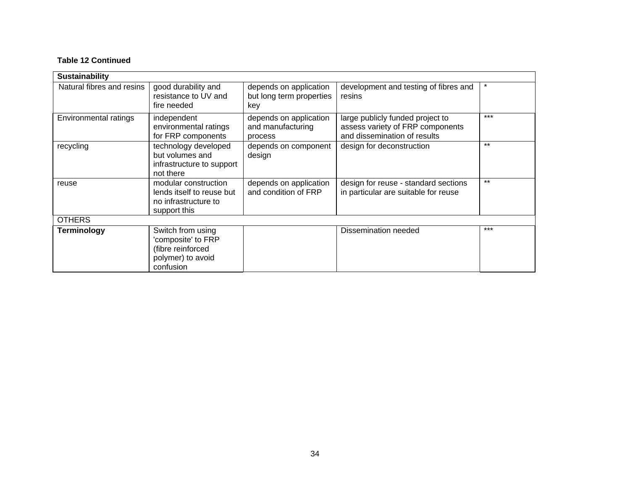#### **ntinued Table 12 Co**

| <b>Sustainability</b>     |                                                                                                |                                                           |                                                                                                      |         |
|---------------------------|------------------------------------------------------------------------------------------------|-----------------------------------------------------------|------------------------------------------------------------------------------------------------------|---------|
| Natural fibres and resins | good durability and<br>resistance to UV and<br>fire needed                                     | depends on application<br>but long term properties<br>key | development and testing of fibres and<br>resins                                                      | $\star$ |
| Environmental ratings     | independent<br>environmental ratings<br>for FRP components                                     | depends on application<br>and manufacturing<br>process    | large publicly funded project to<br>assess variety of FRP components<br>and dissemination of results | $***$   |
| recycling                 | technology developed<br>but volumes and<br>infrastructure to support<br>not there              | depends on component<br>design                            | design for deconstruction                                                                            | $***$   |
| reuse                     | modular construction<br>lends itself to reuse but<br>no infrastructure to<br>support this      | depends on application<br>and condition of FRP            | design for reuse - standard sections<br>in particular are suitable for reuse                         | $***$   |
| <b>OTHERS</b>             |                                                                                                |                                                           |                                                                                                      |         |
| Terminology               | Switch from using<br>'composite' to FRP<br>(fibre reinforced<br>polymer) to avoid<br>confusion |                                                           | Dissemination needed                                                                                 | $***$   |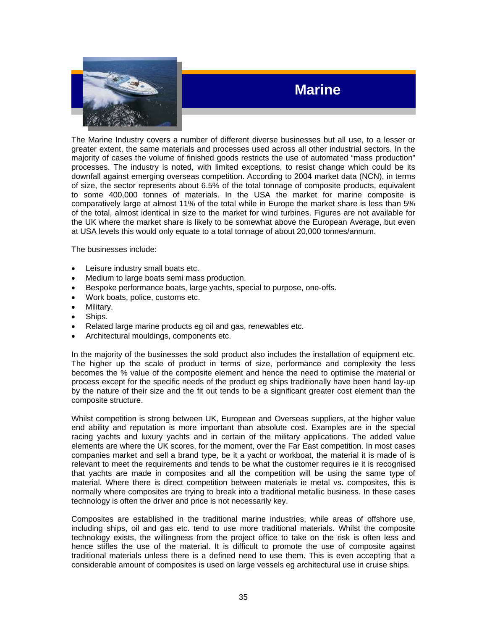

## **Marine**

The Marine Industry covers a number of different diverse businesses but all use, to a lesser or greater extent, the same materials and processes used across all other industrial sectors. In the majority of cases the volume of finished goods restricts the use of automated "mass production" processes. The industry is noted, with limited exceptions, to resist change which could be its downfall against emerging overseas competition. According to 2004 market data (NCN), in terms of size, the sector represents about 6.5% of the total tonnage of composite products, equivalent to some 400,000 tonnes of materials. In the USA the market for marine composite is comparatively large at almost 11% of the total while in Europe the market share is less than 5% of the total, almost identical in size to the market for wind turbines. Figures are not available for the UK where the market share is likely to be somewhat above the European Average, but even at USA levels this would only equate to a total tonnage of about 20,000 tonnes/annum.

The businesses include:

- Leisure industry small boats etc.
- Medium to large boats semi mass production.
- Bespoke performance boats, large yachts, special to purpose, one-offs.
- Work boats, police, customs etc.
- Military.
- Ships.
- Related large marine products eg oil and gas, renewables etc.
- Architectural mouldings, components etc.

In the majority of the businesses the sold product also includes the installation of equipment etc. The higher up the scale of product in terms of size, performance and complexity the less becomes the % value of the composite element and hence the need to optimise the material or process except for the specific needs of the product eg ships traditionally have been hand lay-up by the nature of their size and the fit out tends to be a significant greater cost element than the composite structure.

Whilst competition is strong between UK, European and Overseas suppliers, at the higher value end ability and reputation is more important than absolute cost. Examples are in the special racing yachts and luxury yachts and in certain of the military applications. The added value elements are where the UK scores, for the moment, over the Far East competition. In most cases companies market and sell a brand type, be it a yacht or workboat, the material it is made of is relevant to meet the requirements and tends to be what the customer requires ie it is recognised that yachts are made in composites and all the competition will be using the same type of material. Where there is direct competition between materials ie metal vs. composites, this is normally where composites are trying to break into a traditional metallic business. In these cases technology is often the driver and price is not necessarily key.

Composites are established in the traditional marine industries, while areas of offshore use, including ships, oil and gas etc. tend to use more traditional materials. Whilst the composite technology exists, the willingness from the project office to take on the risk is often less and hence stifles the use of the material. It is difficult to promote the use of composite against traditional materials unless there is a defined need to use them. This is even accepting that a considerable amount of composites is used on large vessels eg architectural use in cruise ships.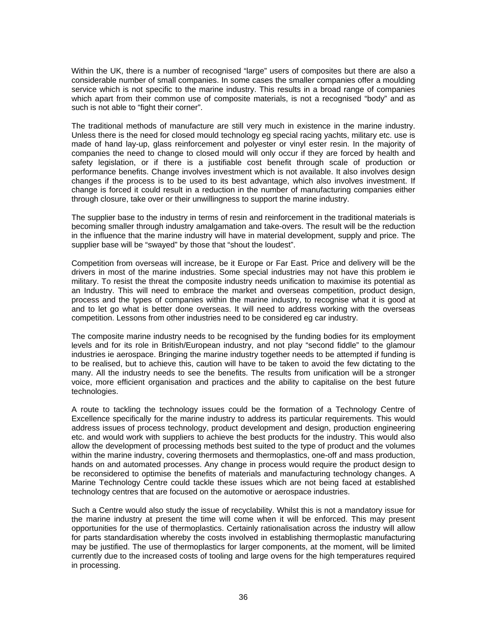Within the UK, there is a number of recognised "large" users of composites but there are also a considerable number of small companies. In some cases the smaller companies offer a moulding service which is not specific to the marine industry. This results in a broad range of companies which apart from their common use of composite materials, is not a recognised "body" and as such is not able to "fight their corner".

The traditional methods of manufacture are still very much in existence in the marine industry. Unless there is the need for closed mould technology eg special racing yachts, military etc. use is made of hand lay-up, glass reinforcement and polyester or vinyl ester resin. In the majority of companies the need to change to closed mould will only occur if they are forced by health and safety legislation, or if there is a justifiable cost benefit through scale of production or performance benefits. Change involves investment which is not available. It also involves design changes if the process is to be used to its best advantage, which also involves investment. If change is forced it could result in a reduction in the number of manufacturing companies either through closure, take over or their unwillingness to support the marine industry.

The supplier base to the industry in terms of resin and reinforcement in the traditional materials is becoming smaller through industry amalgamation and take-overs. The result will be the reduction in the influence that the marine industry will have in material development, supply and price. The supplier base will be "swayed" by those that "shout the loudest".

Competition from overseas will increase, be it Europe or Far East. Price and delivery will be the drivers in most of the marine industries. Some special industries may not have this problem ie military. To resist the threat the composite industry needs unification to maximise its potential as an Industry. This will need to embrace the market and overseas competition, product design, process and the types of companies within the marine industry, to recognise what it is good at and to let go what is better done overseas. It will need to address working with the overseas competition. Lessons from other industries need to be considered eg car industry.

The composite marine industry needs to be recognised by the funding bodies for its employment levels and for its role in British/European industry, and not play "second fiddle" to the glamour industries ie aerospace. Bringing the marine industry together needs to be attempted if funding is to be realised, but to achieve this, caution will have to be taken to avoid the few dictating to the many. All the industry needs to see the benefits. The results from unification will be a stronger voice, more efficient organisation and practices and the ability to capitalise on the best future technologies.

A route to tackling the technology issues could be the formation of a Technology Centre of Excellence specifically for the marine industry to address its particular requirements. This would address issues of process technology, product development and design, production engineering etc. and would work with suppliers to achieve the best products for the industry. This would also allow the development of processing methods best suited to the type of product and the volumes within the marine industry, covering thermosets and thermoplastics, one-off and mass production, hands on and automated processes. Any change in process would require the product design to be reconsidered to optimise the benefits of materials and manufacturing technology changes. A Marine Technology Centre could tackle these issues which are not being faced at established technology centres that are focused on the automotive or aerospace industries.

Such a Centre would also study the issue of recyclability. Whilst this is not a mandatory issue for the marine industry at present the time will come when it will be enforced. This may present opportunities for the use of thermoplastics. Certainly rationalisation across the industry will allow for parts standardisation whereby the costs involved in establishing thermoplastic manufacturing may be justified. The use of thermoplastics for larger components, at the moment, will be limited currently due to the increased costs of tooling and large ovens for the high temperatures required in processing.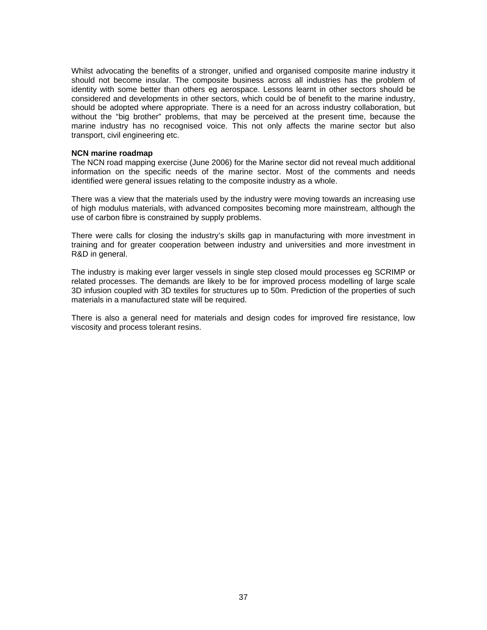Whilst advocating the benefits of a stronger, unified and organised composite marine industry it should not become insular. The composite business across all industries has the problem of identity with some better than others eg aerospace. Lessons learnt in other sectors should be considered and developments in other sectors, which could be of benefit to the marine industry, should be adopted where appropriate. There is a need for an across industry collaboration, but without the "big brother" problems, that may be perceived at the present time, because the marine industry has no recognised voice. This not only affects the marine sector but also transport, civil engineering etc.

#### **NCN marine roadmap**

The NCN road mapping exercise (June 2006) for the Marine sector did not reveal much additional information on the specific needs of the marine sector. Most of the comments and needs identified were general issues relating to the composite industry as a whole.

There was a view that the materials used by the industry were moving towards an increasing use of high modulus materials, with advanced composites becoming more mainstream, although the use of carbon fibre is constrained by supply problems.

There were calls for closing the industry's skills gap in manufacturing with more investment in training and for greater cooperation between industry and universities and more investment in R&D in general.

The industry is making ever larger vessels in single step closed mould processes eg SCRIMP or related processes. The demands are likely to be for improved process modelling of large scale 3D infusion coupled with 3D textiles for structures up to 50m. Prediction of the properties of such materials in a manufactured state will be required.

There is also a general need for materials and design codes for improved fire resistance, low viscosity and process tolerant resins.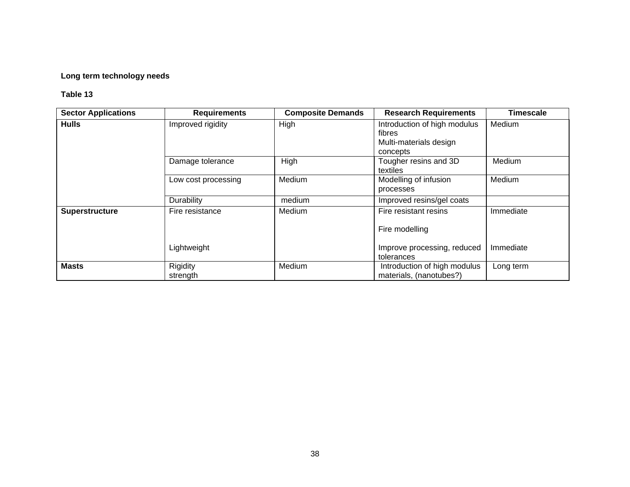#### **Long term technology needs**

| <b>Sector Applications</b> | <b>Requirements</b>  | <b>Composite Demands</b> | <b>Research Requirements</b>                                                 | Timescale |
|----------------------------|----------------------|--------------------------|------------------------------------------------------------------------------|-----------|
| <b>Hulls</b>               | Improved rigidity    | High                     | Introduction of high modulus<br>fibres<br>Multi-materials design<br>concepts | Medium    |
|                            | Damage tolerance     | High                     | Tougher resins and 3D<br>textiles                                            | Medium    |
|                            | Low cost processing  | Medium                   | Modelling of infusion<br>processes                                           | Medium    |
|                            | Durability           | medium                   | Improved resins/gel coats                                                    |           |
| Superstructure             | Fire resistance      | Medium                   | Fire resistant resins                                                        | Immediate |
|                            |                      |                          | Fire modelling                                                               |           |
|                            | Lightweight          |                          | Improve processing, reduced<br>tolerances                                    | Immediate |
| <b>Masts</b>               | Rigidity<br>strength | Medium                   | Introduction of high modulus<br>materials, (nanotubes?)                      | Long term |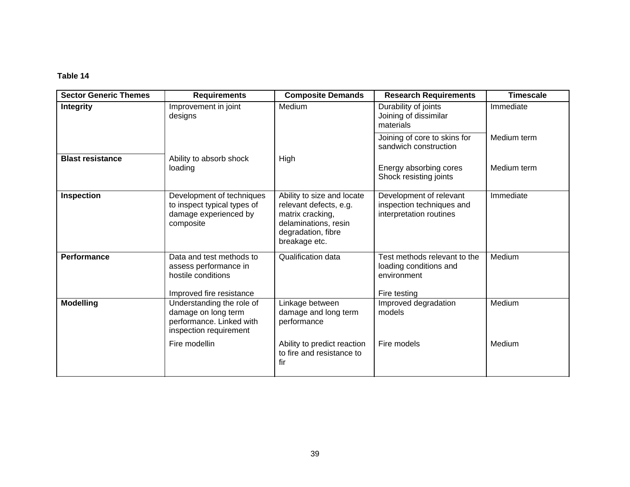| <b>Sector Generic Themes</b> | <b>Requirements</b>                                                                                    | <b>Composite Demands</b>                                                                                                                | <b>Research Requirements</b>                                                          | <b>Timescale</b> |
|------------------------------|--------------------------------------------------------------------------------------------------------|-----------------------------------------------------------------------------------------------------------------------------------------|---------------------------------------------------------------------------------------|------------------|
| <b>Integrity</b>             | Improvement in joint<br>designs                                                                        | Medium                                                                                                                                  | Durability of joints<br>Joining of dissimilar<br>materials                            | Immediate        |
|                              |                                                                                                        |                                                                                                                                         | Joining of core to skins for<br>sandwich construction                                 | Medium term      |
| <b>Blast resistance</b>      | Ability to absorb shock<br>loading                                                                     | High                                                                                                                                    | Energy absorbing cores<br>Shock resisting joints                                      | Medium term      |
| <b>Inspection</b>            | Development of techniques<br>to inspect typical types of<br>damage experienced by<br>composite         | Ability to size and locate<br>relevant defects, e.g.<br>matrix cracking,<br>delaminations, resin<br>degradation, fibre<br>breakage etc. | Development of relevant<br>inspection techniques and<br>interpretation routines       | Immediate        |
| Performance                  | Data and test methods to<br>assess performance in<br>hostile conditions<br>Improved fire resistance    | Qualification data                                                                                                                      | Test methods relevant to the<br>loading conditions and<br>environment<br>Fire testing | Medium           |
| <b>Modelling</b>             | Understanding the role of<br>damage on long term<br>performance. Linked with<br>inspection requirement | Linkage between<br>damage and long term<br>performance                                                                                  | Improved degradation<br>models                                                        | Medium           |
|                              | Fire modellin                                                                                          | Ability to predict reaction<br>to fire and resistance to<br>fir                                                                         | Fire models                                                                           | Medium           |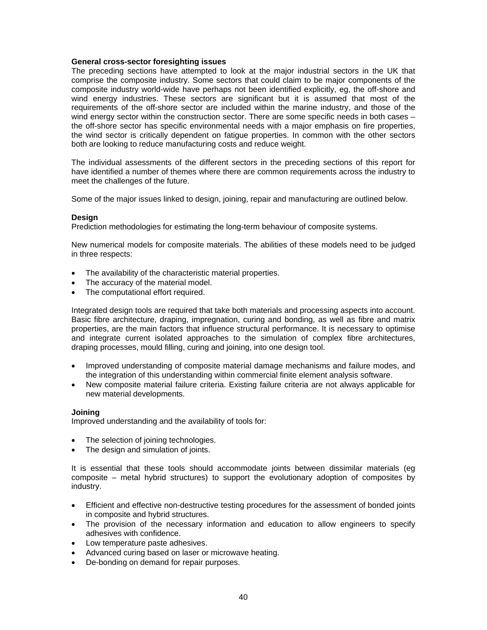#### **General cross-sector foresighting issues**

The preceding sections have attempted to look at the major industrial sectors in the UK that comprise the composite industry. Some sectors that could claim to be major components of the composite industry world-wide have perhaps not been identified explicitly, eg, the off-shore and wind energy industries. These sectors are significant but it is assumed that most of the requirements of the off-shore sector are included within the marine industry, and those of the wind energy sector within the construction sector. There are some specific needs in both cases – the off-shore sector has specific environmental needs with a major emphasis on fire properties, the wind sector is critically dependent on fatigue properties. In common with the other sectors both are looking to reduce manufacturing costs and reduce weight.

The individual assessments of the different sectors in the preceding sections of this report for have identified a number of themes where there are common requirements across the industry to meet the challenges of the future.

Some of the major issues linked to design, joining, repair and manufacturing are outlined below.

#### **Design**

Prediction methodologies for estimating the long-term behaviour of composite systems.

New numerical models for composite materials. The abilities of these models need to be judged in three respects:

- The availability of the characteristic material properties.
- The accuracy of the material model.
- The computational effort required.

Integrated design tools are required that take both materials and processing aspects into account. Basic fibre architecture, draping, impregnation, curing and bonding, as well as fibre and matrix properties, are the main factors that influence structural performance. It is necessary to optimise and integrate current isolated approaches to the simulation of complex fibre architectures, draping processes, mould filling, curing and joining, into one design tool.

- Improved understanding of composite material damage mechanisms and failure modes, and the integration of this understanding within commercial finite element analysis software.
- New composite material failure criteria. Existing failure criteria are not always applicable for new material developments.

#### **Joining**

Improved understanding and the availability of tools for:

- The selection of joining technologies.
- The design and simulation of joints.

It is essential that these tools should accommodate joints between dissimilar materials (eg composite – metal hybrid structures) to support the evolutionary adoption of composites by industry.

- Efficient and effective non-destructive testing procedures for the assessment of bonded joints in composite and hybrid structures.
- The provision of the necessary information and education to allow engineers to specify adhesives with confidence.
- Low temperature paste adhesives.
- Advanced curing based on laser or microwave heating.
- De-bonding on demand for repair purposes.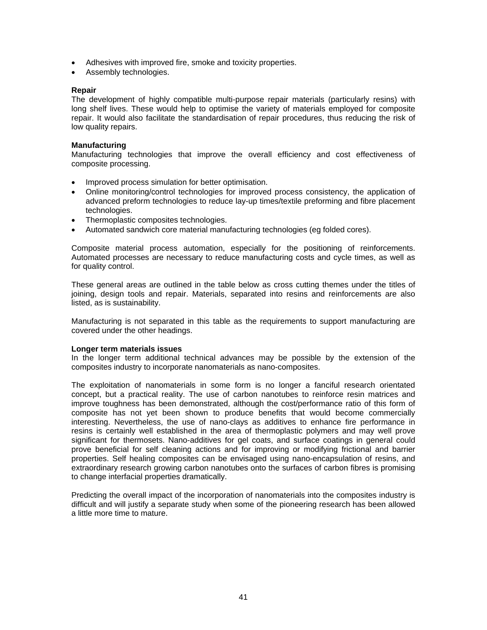- Adhesives with improved fire, smoke and toxicity properties.
- Assembly technologies.

#### **Repair**

The development of highly compatible multi-purpose repair materials (particularly resins) with long shelf lives. These would help to optimise the variety of materials employed for composite repair. It would also facilitate the standardisation of repair procedures, thus reducing the risk of low quality repairs.

#### **Manufacturing**

Manufacturing technologies that improve the overall efficiency and cost effectiveness of composite processing.

- Improved process simulation for better optimisation.
- Online monitoring/control technologies for improved process consistency, the application of advanced preform technologies to reduce lay-up times/textile preforming and fibre placement technologies.
- Thermoplastic composites technologies.
- Automated sandwich core material manufacturing technologies (eg folded cores).

Composite material process automation, especially for the positioning of reinforcements. Automated processes are necessary to reduce manufacturing costs and cycle times, as well as for quality control.

These general areas are outlined in the table below as cross cutting themes under the titles of joining, design tools and repair. Materials, separated into resins and reinforcements are also listed, as is sustainability.

Manufacturing is not separated in this table as the requirements to support manufacturing are covered under the other headings.

#### **Longer term materials issues**

In the longer term additional technical advances may be possible by the extension of the composites industry to incorporate nanomaterials as nano-composites.

The exploitation of nanomaterials in some form is no longer a fanciful research orientated concept, but a practical reality. The use of carbon nanotubes to reinforce resin matrices and improve toughness has been demonstrated, although the cost/performance ratio of this form of composite has not yet been shown to produce benefits that would become commercially interesting. Nevertheless, the use of nano-clays as additives to enhance fire performance in resins is certainly well established in the area of thermoplastic polymers and may well prove significant for thermosets. Nano-additives for gel coats, and surface coatings in general could prove beneficial for self cleaning actions and for improving or modifying frictional and barrier properties. Self healing composites can be envisaged using nano-encapsulation of resins, and extraordinary research growing carbon nanotubes onto the surfaces of carbon fibres is promising to change interfacial properties dramatically.

Predicting the overall impact of the incorporation of nanomaterials into the composites industry is difficult and will justify a separate study when some of the pioneering research has been allowed a little more time to mature.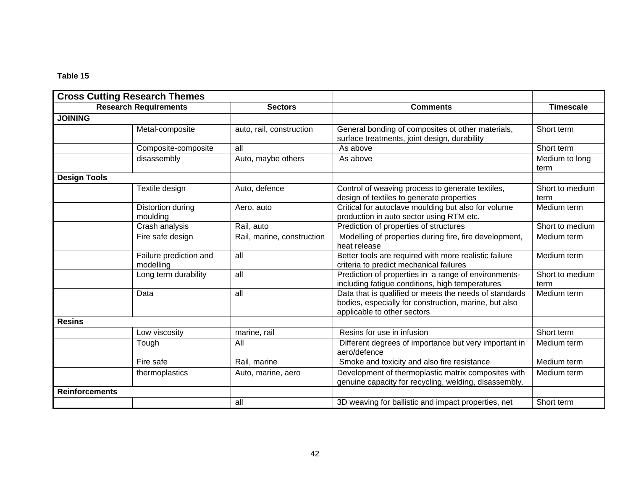| <b>Cross Cutting Research Themes</b> |                                     |                            |                                                                                                                                                |                         |
|--------------------------------------|-------------------------------------|----------------------------|------------------------------------------------------------------------------------------------------------------------------------------------|-------------------------|
|                                      | <b>Research Requirements</b>        | <b>Sectors</b>             | <b>Comments</b>                                                                                                                                | <b>Timescale</b>        |
| <b>JOINING</b>                       |                                     |                            |                                                                                                                                                |                         |
|                                      | Metal-composite                     | auto, rail, construction   | General bonding of composites ot other materials,<br>surface treatments, joint design, durability                                              | Short term              |
|                                      | Composite-composite                 | all                        | As above                                                                                                                                       | Short term              |
|                                      | disassembly                         | Auto, maybe others         | As above                                                                                                                                       | Medium to long<br>term  |
| <b>Design Tools</b>                  |                                     |                            |                                                                                                                                                |                         |
|                                      | Textile design                      | Auto, defence              | Control of weaving process to generate textiles,<br>design of textiles to generate properties                                                  | Short to medium<br>term |
|                                      | Distortion during<br>moulding       | Aero, auto                 | Critical for autoclave moulding but also for volume<br>production in auto sector using RTM etc.                                                | Medium term             |
|                                      | Crash analysis                      | Rail, auto                 | Prediction of properties of structures                                                                                                         | Short to medium         |
|                                      | Fire safe design                    | Rail, marine, construction | Modelling of properties during fire, fire development,<br>heat release                                                                         | Medium term             |
|                                      | Failure prediction and<br>modelling | all                        | Better tools are required with more realistic failure<br>criteria to predict mechanical failures                                               | Medium term             |
|                                      | Long term durability                | all                        | Prediction of properties in a range of environments-<br>including fatigue conditions, high temperatures                                        | Short to medium<br>term |
|                                      | Data                                | all                        | Data that is qualified or meets the needs of standards<br>bodies, especially for construction, marine, but also<br>applicable to other sectors | Medium term             |
| <b>Resins</b>                        |                                     |                            |                                                                                                                                                |                         |
|                                      | Low viscosity                       | marine, rail               | Resins for use in infusion                                                                                                                     | Short term              |
|                                      | Tough                               | All                        | Different degrees of importance but very important in<br>aero/defence                                                                          | Medium term             |
|                                      | Fire safe                           | Rail, marine               | Smoke and toxicity and also fire resistance                                                                                                    | Medium term             |
|                                      | thermoplastics                      | Auto, marine, aero         | Development of thermoplastic matrix composites with<br>genuine capacity for recycling, welding, disassembly.                                   | Medium term             |
| <b>Reinforcements</b>                |                                     |                            |                                                                                                                                                |                         |
|                                      |                                     | all                        | 3D weaving for ballistic and impact properties, net                                                                                            | Short term              |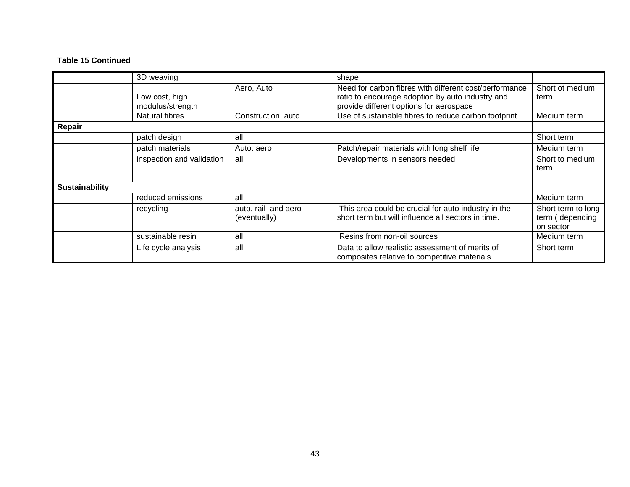#### **ntinued Table 15 Co**

|                       | 3D weaving                         |                                     | shape                                                                                                                                                 |                                                    |
|-----------------------|------------------------------------|-------------------------------------|-------------------------------------------------------------------------------------------------------------------------------------------------------|----------------------------------------------------|
|                       | Low cost, high<br>modulus/strength | Aero, Auto                          | Need for carbon fibres with different cost/performance<br>ratio to encourage adoption by auto industry and<br>provide different options for aerospace | Short ot medium<br>term                            |
|                       | Natural fibres                     | Construction, auto                  | Use of sustainable fibres to reduce carbon footprint                                                                                                  | Medium term                                        |
| Repair                |                                    |                                     |                                                                                                                                                       |                                                    |
|                       | patch design                       | all                                 |                                                                                                                                                       | Short term                                         |
|                       | patch materials                    | Auto. aero                          | Patch/repair materials with long shelf life                                                                                                           | Medium term                                        |
|                       | inspection and validation          | all                                 | Developments in sensors needed                                                                                                                        | Short to medium<br>term                            |
| <b>Sustainability</b> |                                    |                                     |                                                                                                                                                       |                                                    |
|                       | reduced emissions                  | all                                 |                                                                                                                                                       | Medium term                                        |
|                       | recycling                          | auto, rail and aero<br>(eventually) | This area could be crucial for auto industry in the<br>short term but will influence all sectors in time.                                             | Short term to long<br>term (depending<br>on sector |
|                       | sustainable resin                  | all                                 | Resins from non-oil sources                                                                                                                           | Medium term                                        |
|                       | Life cycle analysis                | all                                 | Data to allow realistic assessment of merits of<br>composites relative to competitive materials                                                       | Short term                                         |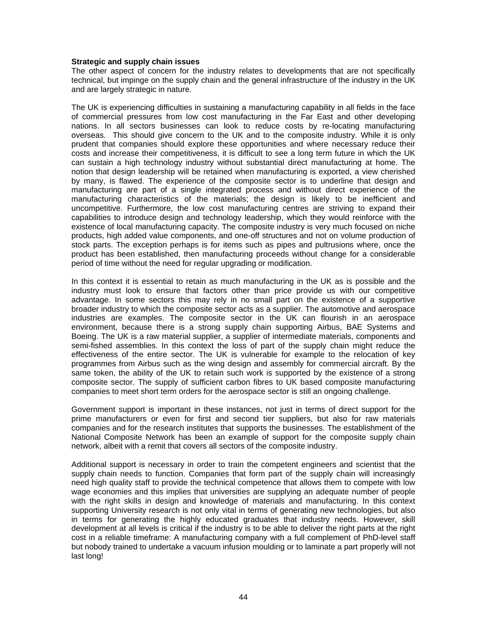#### **Strategic and supply chain issues**

The other aspect of concern for the industry relates to developments that are not specifically technical, but impinge on the supply chain and the general infrastructure of the industry in the UK and are largely strategic in nature.

The UK is experiencing difficulties in sustaining a manufacturing capability in all fields in the face of commercial pressures from low cost manufacturing in the Far East and other developing nations. In all sectors businesses can look to reduce costs by re-locating manufacturing overseas. This should give concern to the UK and to the composite industry. While it is only prudent that companies should explore these opportunities and where necessary reduce their costs and increase their competitiveness, it is difficult to see a long term future in which the UK can sustain a high technology industry without substantial direct manufacturing at home. The notion that design leadership will be retained when manufacturing is exported, a view cherished by many, is flawed. The experience of the composite sector is to underline that design and manufacturing are part of a single integrated process and without direct experience of the manufacturing characteristics of the materials; the design is likely to be inefficient and uncompetitive. Furthermore, the low cost manufacturing centres are striving to expand their capabilities to introduce design and technology leadership, which they would reinforce with the existence of local manufacturing capacity. The composite industry is very much focused on niche products, high added value components, and one-off structures and not on volume production of stock parts. The exception perhaps is for items such as pipes and pultrusions where, once the product has been established, then manufacturing proceeds without change for a considerable period of time without the need for regular upgrading or modification.

In this context it is essential to retain as much manufacturing in the UK as is possible and the industry must look to ensure that factors other than price provide us with our competitive advantage. In some sectors this may rely in no small part on the existence of a supportive broader industry to which the composite sector acts as a supplier. The automotive and aerospace industries are examples. The composite sector in the UK can flourish in an aerospace environment, because there is a strong supply chain supporting Airbus, BAE Systems and Boeing. The UK is a raw material supplier, a supplier of intermediate materials, components and semi-fished assemblies. In this context the loss of part of the supply chain might reduce the effectiveness of the entire sector. The UK is vulnerable for example to the relocation of key programmes from Airbus such as the wing design and assembly for commercial aircraft. By the same token, the ability of the UK to retain such work is supported by the existence of a strong composite sector. The supply of sufficient carbon fibres to UK based composite manufacturing companies to meet short term orders for the aerospace sector is still an ongoing challenge.

Government support is important in these instances, not just in terms of direct support for the prime manufacturers or even for first and second tier suppliers, but also for raw materials companies and for the research institutes that supports the businesses. The establishment of the National Composite Network has been an example of support for the composite supply chain network, albeit with a remit that covers all sectors of the composite industry.

Additional support is necessary in order to train the competent engineers and scientist that the supply chain needs to function. Companies that form part of the supply chain will increasingly need high quality staff to provide the technical competence that allows them to compete with low wage economies and this implies that universities are supplying an adequate number of people with the right skills in design and knowledge of materials and manufacturing. In this context supporting University research is not only vital in terms of generating new technologies, but also in terms for generating the highly educated graduates that industry needs. However, skill development at all levels is critical if the industry is to be able to deliver the right parts at the right cost in a reliable timeframe: A manufacturing company with a full complement of PhD-level staff but nobody trained to undertake a vacuum infusion moulding or to laminate a part properly will not last long!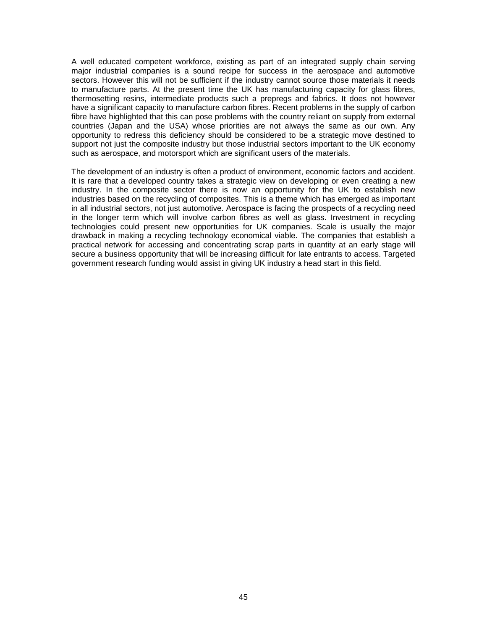A well educated competent workforce, existing as part of an integrated supply chain serving major industrial companies is a sound recipe for success in the aerospace and automotive sectors. However this will not be sufficient if the industry cannot source those materials it needs to manufacture parts. At the present time the UK has manufacturing capacity for glass fibres, thermosetting resins, intermediate products such a prepregs and fabrics. It does not however have a significant capacity to manufacture carbon fibres. Recent problems in the supply of carbon fibre have highlighted that this can pose problems with the country reliant on supply from external countries (Japan and the USA) whose priorities are not always the same as our own. Any opportunity to redress this deficiency should be considered to be a strategic move destined to support not just the composite industry but those industrial sectors important to the UK economy such as aerospace, and motorsport which are significant users of the materials.

The development of an industry is often a product of environment, economic factors and accident. It is rare that a developed country takes a strategic view on developing or even creating a new industry. In the composite sector there is now an opportunity for the UK to establish new industries based on the recycling of composites. This is a theme which has emerged as important in all industrial sectors, not just automotive. Aerospace is facing the prospects of a recycling need in the longer term which will involve carbon fibres as well as glass. Investment in recycling technologies could present new opportunities for UK companies. Scale is usually the major drawback in making a recycling technology economical viable. The companies that establish a practical network for accessing and concentrating scrap parts in quantity at an early stage will secure a business opportunity that will be increasing difficult for late entrants to access. Targeted government research funding would assist in giving UK industry a head start in this field.